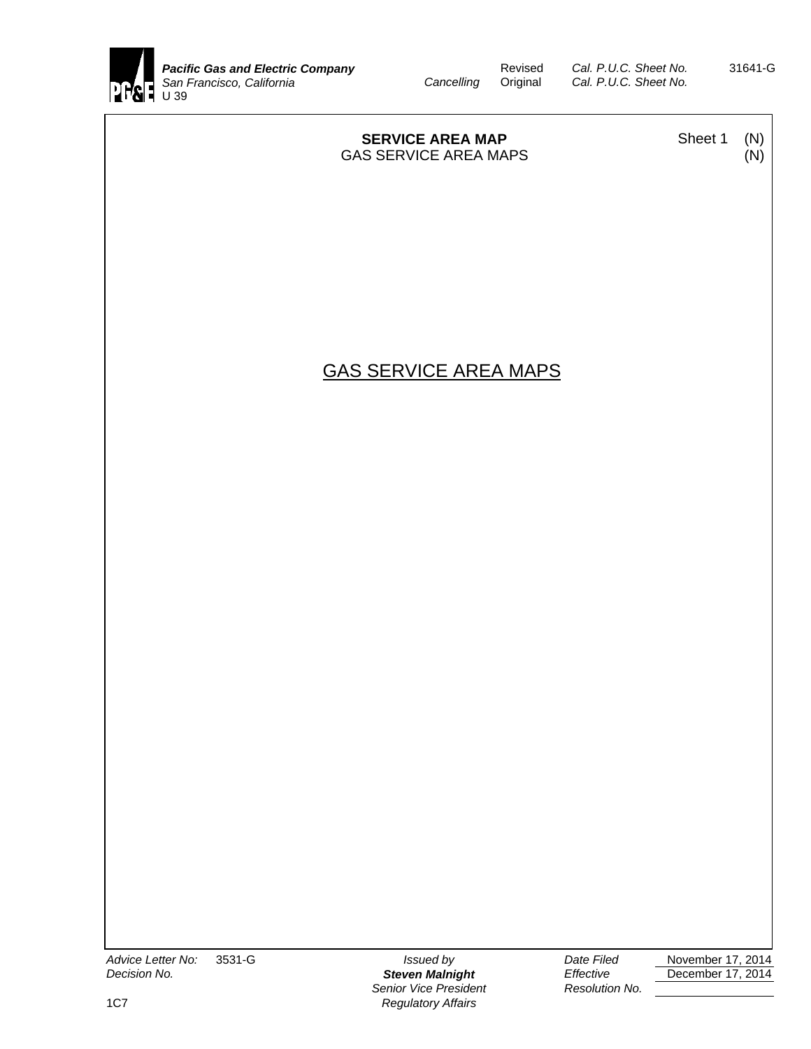

Revised *Cal. P.U.C. Sheet No.* 31641-G<br>*Cancelling* Original *Cal. P.U.C. Sheet No. Cal. P.U.C. Sheet No.* 

| <b>SERVICE AREA MAP</b><br><b>GAS SERVICE AREA MAPS</b> | Sheet 1 | (N)<br>(N) |
|---------------------------------------------------------|---------|------------|
|                                                         |         |            |
|                                                         |         |            |
| <b>GAS SERVICE AREA MAPS</b>                            |         |            |
|                                                         |         |            |
|                                                         |         |            |
|                                                         |         |            |
|                                                         |         |            |
|                                                         |         |            |
|                                                         |         |            |
|                                                         |         |            |
|                                                         |         |            |

**Senior Vice President Channel Resolution No.** 1C7 *Regulatory Affairs*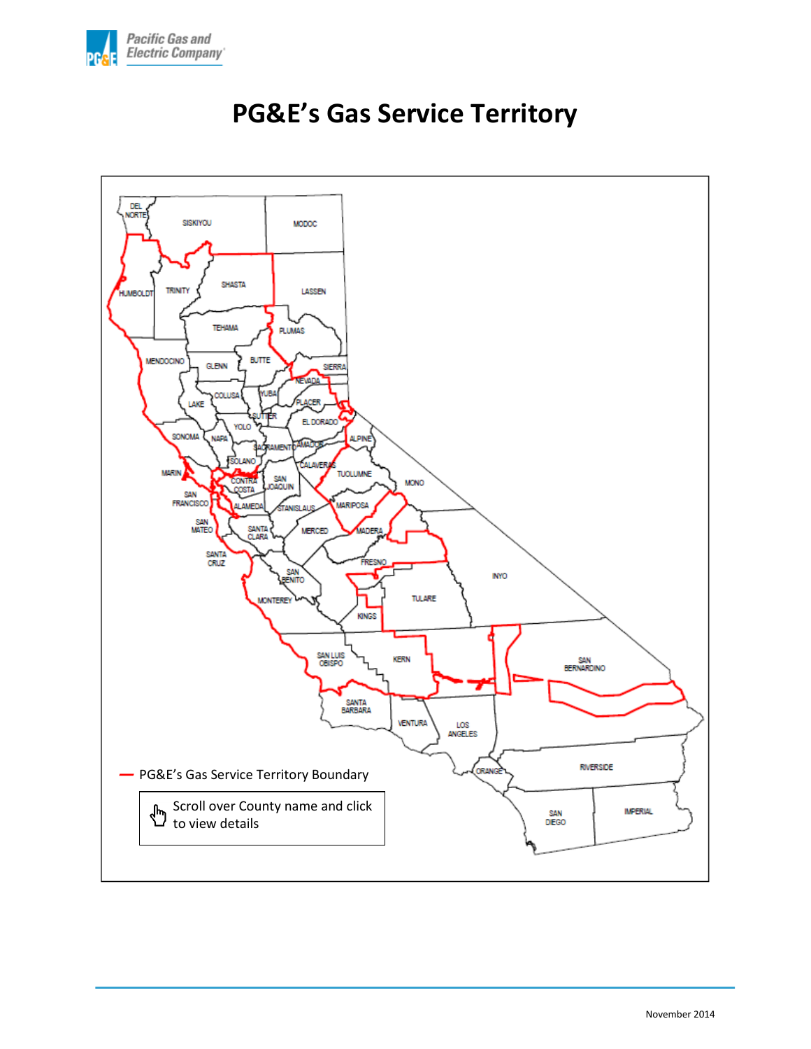

<span id="page-1-0"></span>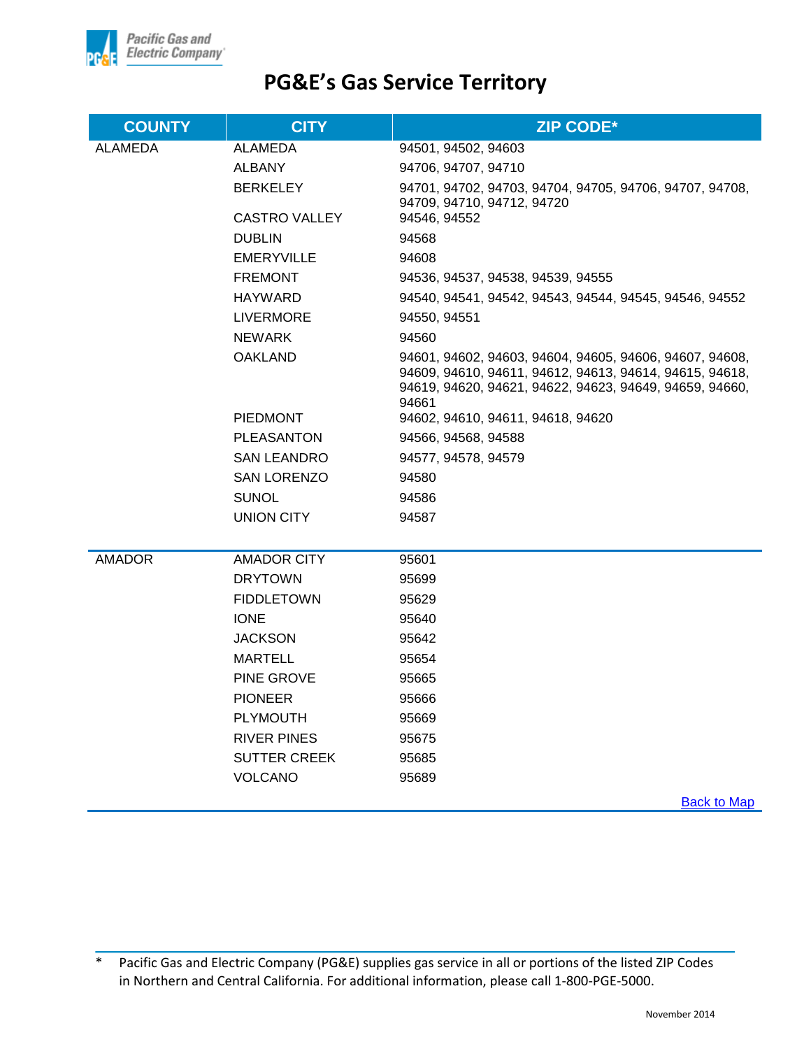

| <b>COUNTY</b>  | <b>CITY</b>         | <b>ZIP CODE*</b>                                                                                                                                                                       |
|----------------|---------------------|----------------------------------------------------------------------------------------------------------------------------------------------------------------------------------------|
| <b>ALAMEDA</b> | ALAMEDA             | 94501, 94502, 94603                                                                                                                                                                    |
|                | ALBANY              | 94706, 94707, 94710                                                                                                                                                                    |
|                | <b>BERKELEY</b>     | 94701, 94702, 94703, 94704, 94705, 94706, 94707, 94708,<br>94709, 94710, 94712, 94720                                                                                                  |
|                | CASTRO VALLEY       | 94546, 94552                                                                                                                                                                           |
|                | <b>DUBLIN</b>       | 94568                                                                                                                                                                                  |
|                | EMERYVILLE          | 94608                                                                                                                                                                                  |
|                | <b>FREMONT</b>      | 94536, 94537, 94538, 94539, 94555                                                                                                                                                      |
|                | <b>HAYWARD</b>      | 94540, 94541, 94542, 94543, 94544, 94545, 94546, 94552                                                                                                                                 |
|                | <b>LIVERMORE</b>    | 94550, 94551                                                                                                                                                                           |
|                | <b>NEWARK</b>       | 94560                                                                                                                                                                                  |
|                | <b>OAKLAND</b>      | 94601, 94602, 94603, 94604, 94605, 94606, 94607, 94608,<br>94609, 94610, 94611, 94612, 94613, 94614, 94615, 94618,<br>94619, 94620, 94621, 94622, 94623, 94649, 94659, 94660,<br>94661 |
|                | <b>PIEDMONT</b>     | 94602, 94610, 94611, 94618, 94620                                                                                                                                                      |
|                | <b>PLEASANTON</b>   | 94566, 94568, 94588                                                                                                                                                                    |
|                | SAN LEANDRO         | 94577, 94578, 94579                                                                                                                                                                    |
|                | <b>SAN LORENZO</b>  | 94580                                                                                                                                                                                  |
|                | SUNOL               | 94586                                                                                                                                                                                  |
|                | UNION CITY          | 94587                                                                                                                                                                                  |
|                |                     |                                                                                                                                                                                        |
| <b>AMADOR</b>  | <b>AMADOR CITY</b>  | 95601                                                                                                                                                                                  |
|                | <b>DRYTOWN</b>      | 95699                                                                                                                                                                                  |
|                | <b>FIDDLETOWN</b>   | 95629                                                                                                                                                                                  |
|                | <b>IONE</b>         | 95640                                                                                                                                                                                  |
|                | <b>JACKSON</b>      | 95642                                                                                                                                                                                  |
|                | <b>MARTELL</b>      | 95654                                                                                                                                                                                  |
|                | <b>PINE GROVE</b>   | 95665                                                                                                                                                                                  |
|                | <b>PIONEER</b>      | 95666                                                                                                                                                                                  |
|                | <b>PLYMOUTH</b>     | 95669                                                                                                                                                                                  |
|                | <b>RIVER PINES</b>  | 95675                                                                                                                                                                                  |
|                | <b>SUTTER CREEK</b> | 95685                                                                                                                                                                                  |
|                | <b>VOLCANO</b>      | 95689                                                                                                                                                                                  |
|                |                     | $D$ ook to Mon                                                                                                                                                                         |

**[Back to Map](#page-1-0)** 

<sup>\*</sup> Pacific Gas and Electric Company (PG&E) supplies gas service in all or portions of the listed ZIP Codes in Northern and Central California. For additional information, please call 1-800-PGE-5000.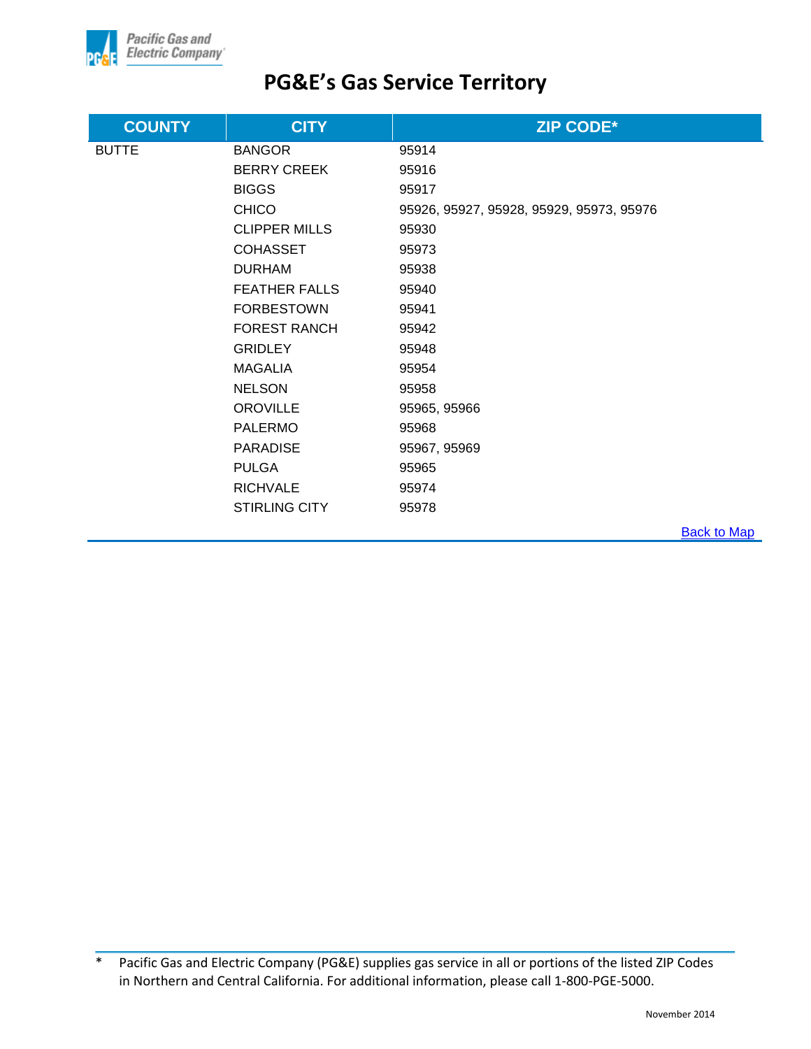

| <b>COUNTY</b> | <b>CITY</b>          | <b>ZIP CODE*</b>                         |                    |
|---------------|----------------------|------------------------------------------|--------------------|
| <b>BUTTE</b>  | <b>BANGOR</b>        | 95914                                    |                    |
|               | <b>BERRY CREEK</b>   | 95916                                    |                    |
|               | <b>BIGGS</b>         | 95917                                    |                    |
|               | <b>CHICO</b>         | 95926, 95927, 95928, 95929, 95973, 95976 |                    |
|               | <b>CLIPPER MILLS</b> | 95930                                    |                    |
|               | <b>COHASSET</b>      | 95973                                    |                    |
|               | <b>DURHAM</b>        | 95938                                    |                    |
|               | <b>FEATHER FALLS</b> | 95940                                    |                    |
|               | <b>FORBESTOWN</b>    | 95941                                    |                    |
|               | <b>FOREST RANCH</b>  | 95942                                    |                    |
|               | <b>GRIDLEY</b>       | 95948                                    |                    |
|               | <b>MAGALIA</b>       | 95954                                    |                    |
|               | <b>NELSON</b>        | 95958                                    |                    |
|               | <b>OROVILLE</b>      | 95965, 95966                             |                    |
|               | <b>PALERMO</b>       | 95968                                    |                    |
|               | <b>PARADISE</b>      | 95967, 95969                             |                    |
|               | <b>PULGA</b>         | 95965                                    |                    |
|               | <b>RICHVALE</b>      | 95974                                    |                    |
|               | <b>STIRLING CITY</b> | 95978                                    |                    |
|               |                      |                                          | <b>Back to Map</b> |

<sup>\*</sup> Pacific Gas and Electric Company (PG&E) supplies gas service in all or portions of the listed ZIP Codes in Northern and Central California. For additional information, please call 1-800-PGE-5000.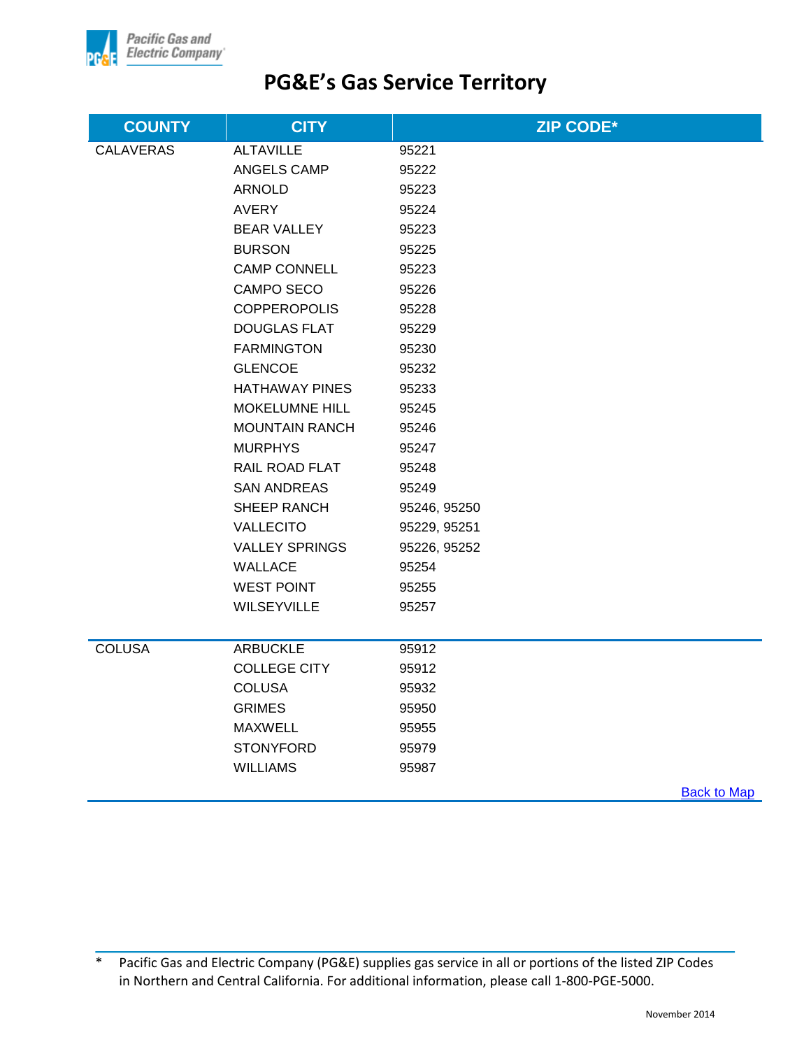

| <b>COUNTY</b>    | <b>CITY</b>           | <b>ZIP CODE*</b>   |
|------------------|-----------------------|--------------------|
| <b>CALAVERAS</b> | <b>ALTAVILLE</b>      | 95221              |
|                  | ANGELS CAMP           | 95222              |
|                  | <b>ARNOLD</b>         | 95223              |
|                  | <b>AVERY</b>          | 95224              |
|                  | <b>BEAR VALLEY</b>    | 95223              |
|                  | <b>BURSON</b>         | 95225              |
|                  | <b>CAMP CONNELL</b>   | 95223              |
|                  | CAMPO SECO            | 95226              |
|                  | <b>COPPEROPOLIS</b>   | 95228              |
|                  | <b>DOUGLAS FLAT</b>   | 95229              |
|                  | <b>FARMINGTON</b>     | 95230              |
|                  | <b>GLENCOE</b>        | 95232              |
|                  | <b>HATHAWAY PINES</b> | 95233              |
|                  | <b>MOKELUMNE HILL</b> | 95245              |
|                  | <b>MOUNTAIN RANCH</b> | 95246              |
|                  | <b>MURPHYS</b>        | 95247              |
|                  | <b>RAIL ROAD FLAT</b> | 95248              |
|                  | <b>SAN ANDREAS</b>    | 95249              |
|                  | SHEEP RANCH           | 95246, 95250       |
|                  | VALLECITO             | 95229, 95251       |
|                  | <b>VALLEY SPRINGS</b> | 95226, 95252       |
|                  | WALLACE               | 95254              |
|                  | <b>WEST POINT</b>     | 95255              |
|                  | WILSEYVILLE           | 95257              |
|                  |                       |                    |
| <b>COLUSA</b>    | <b>ARBUCKLE</b>       | 95912              |
|                  | <b>COLLEGE CITY</b>   | 95912              |
|                  | <b>COLUSA</b>         | 95932              |
|                  | <b>GRIMES</b>         | 95950              |
|                  | <b>MAXWELL</b>        | 95955              |
|                  | <b>STONYFORD</b>      | 95979              |
|                  | <b>WILLIAMS</b>       | 95987              |
|                  |                       | <b>Back to Map</b> |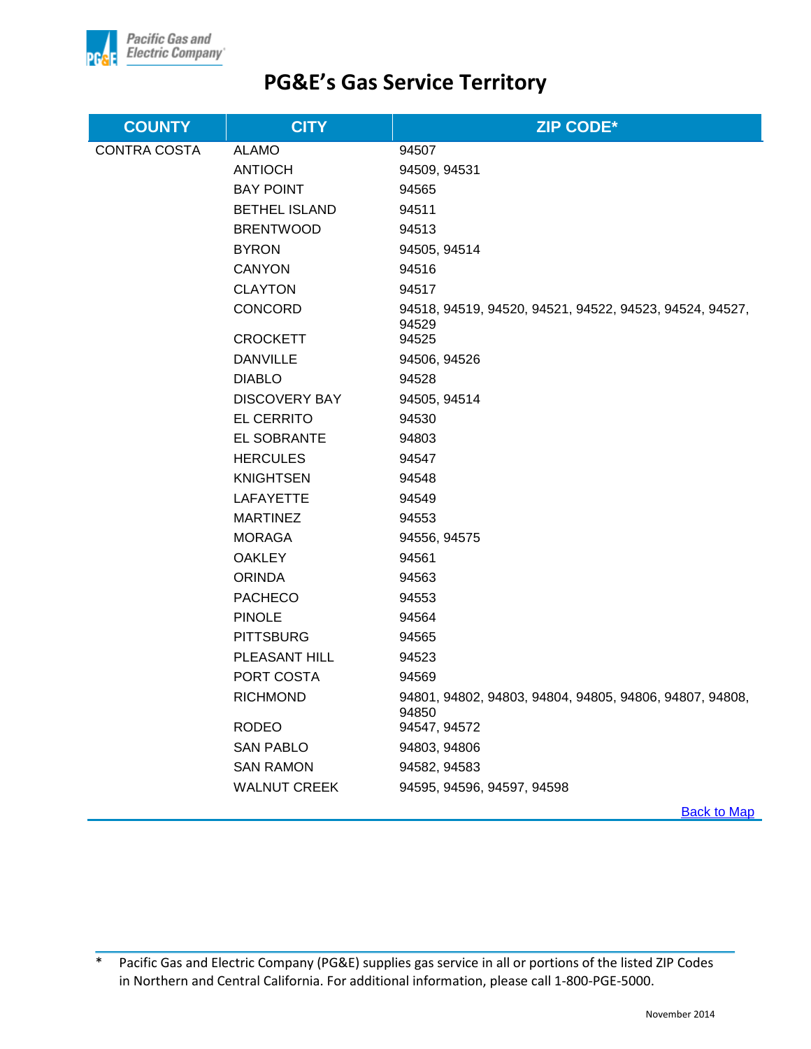

| <b>COUNTY</b>       | <b>CITY</b>          | <b>ZIP CODE*</b>                                                 |
|---------------------|----------------------|------------------------------------------------------------------|
| <b>CONTRA COSTA</b> | <b>ALAMO</b>         | 94507                                                            |
|                     | <b>ANTIOCH</b>       | 94509, 94531                                                     |
|                     | <b>BAY POINT</b>     | 94565                                                            |
|                     | <b>BETHEL ISLAND</b> | 94511                                                            |
|                     | <b>BRENTWOOD</b>     | 94513                                                            |
|                     | <b>BYRON</b>         | 94505, 94514                                                     |
|                     | <b>CANYON</b>        | 94516                                                            |
|                     | <b>CLAYTON</b>       | 94517                                                            |
|                     | CONCORD              | 94518, 94519, 94520, 94521, 94522, 94523, 94524, 94527,<br>94529 |
|                     | <b>CROCKETT</b>      | 94525                                                            |
|                     | <b>DANVILLE</b>      | 94506, 94526                                                     |
|                     | <b>DIABLO</b>        | 94528                                                            |
|                     | <b>DISCOVERY BAY</b> | 94505, 94514                                                     |
|                     | <b>EL CERRITO</b>    | 94530                                                            |
|                     | EL SOBRANTE          | 94803                                                            |
|                     | <b>HERCULES</b>      | 94547                                                            |
|                     | <b>KNIGHTSEN</b>     | 94548                                                            |
|                     | LAFAYETTE            | 94549                                                            |
|                     | <b>MARTINEZ</b>      | 94553                                                            |
|                     | <b>MORAGA</b>        | 94556, 94575                                                     |
|                     | <b>OAKLEY</b>        | 94561                                                            |
|                     | <b>ORINDA</b>        | 94563                                                            |
|                     | <b>PACHECO</b>       | 94553                                                            |
|                     | <b>PINOLE</b>        | 94564                                                            |
|                     | <b>PITTSBURG</b>     | 94565                                                            |
|                     | PLEASANT HILL        | 94523                                                            |
|                     | PORT COSTA           | 94569                                                            |
|                     | <b>RICHMOND</b>      | 94801, 94802, 94803, 94804, 94805, 94806, 94807, 94808,<br>94850 |
|                     | <b>RODEO</b>         | 94547, 94572                                                     |
|                     | <b>SAN PABLO</b>     | 94803, 94806                                                     |
|                     | <b>SAN RAMON</b>     | 94582, 94583                                                     |
|                     | <b>WALNUT CREEK</b>  | 94595, 94596, 94597, 94598                                       |
|                     |                      | <b>Back to Map</b>                                               |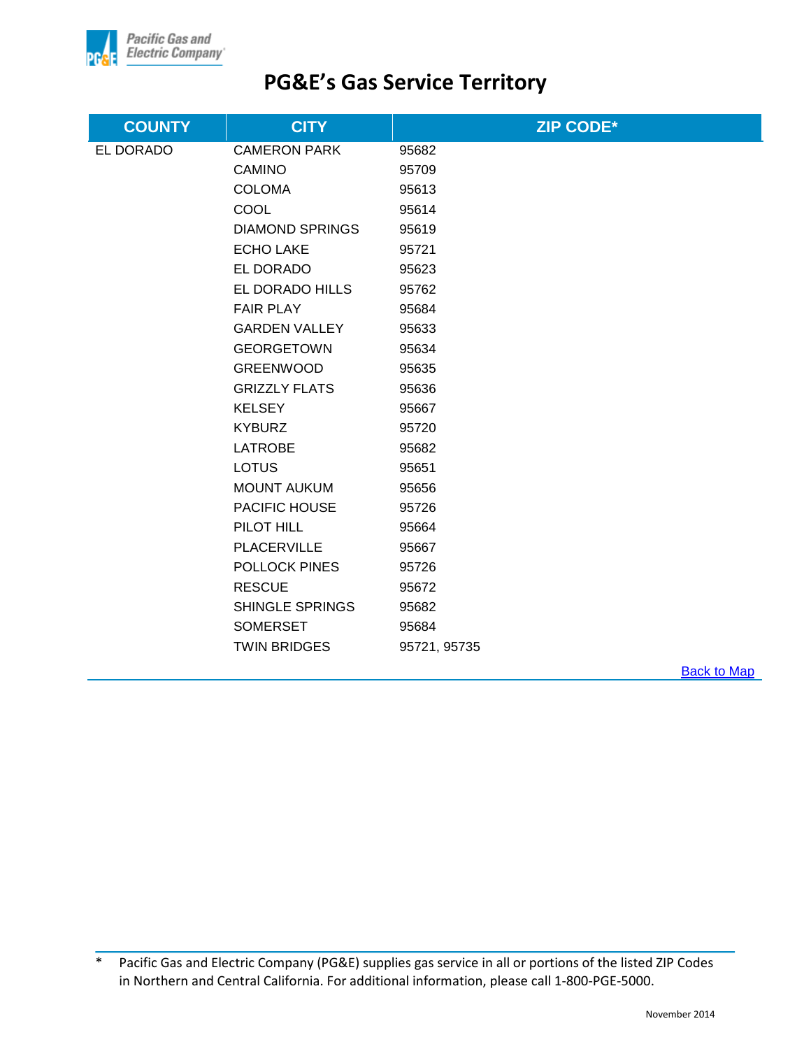

| <b>COUNTY</b> | <b>CITY</b>            | <b>ZIP CODE*</b> |
|---------------|------------------------|------------------|
| EL DORADO     | <b>CAMERON PARK</b>    | 95682            |
|               | <b>CAMINO</b>          | 95709            |
|               | <b>COLOMA</b>          | 95613            |
|               | COOL                   | 95614            |
|               | <b>DIAMOND SPRINGS</b> | 95619            |
|               | <b>ECHO LAKE</b>       | 95721            |
|               | EL DORADO              | 95623            |
|               | EL DORADO HILLS        | 95762            |
|               | <b>FAIR PLAY</b>       | 95684            |
|               | <b>GARDEN VALLEY</b>   | 95633            |
|               | <b>GEORGETOWN</b>      | 95634            |
|               | <b>GREENWOOD</b>       | 95635            |
|               | <b>GRIZZLY FLATS</b>   | 95636            |
|               | <b>KELSEY</b>          | 95667            |
|               | <b>KYBURZ</b>          | 95720            |
|               | <b>LATROBE</b>         | 95682            |
|               | LOTUS                  | 95651            |
|               | <b>MOUNT AUKUM</b>     | 95656            |
|               | PACIFIC HOUSE          | 95726            |
|               | PILOT HILL             | 95664            |
|               | <b>PLACERVILLE</b>     | 95667            |
|               | <b>POLLOCK PINES</b>   | 95726            |
|               | <b>RESCUE</b>          | 95672            |
|               | <b>SHINGLE SPRINGS</b> | 95682            |
|               | <b>SOMERSET</b>        | 95684            |
|               | <b>TWIN BRIDGES</b>    | 95721, 95735     |

**Back to Map**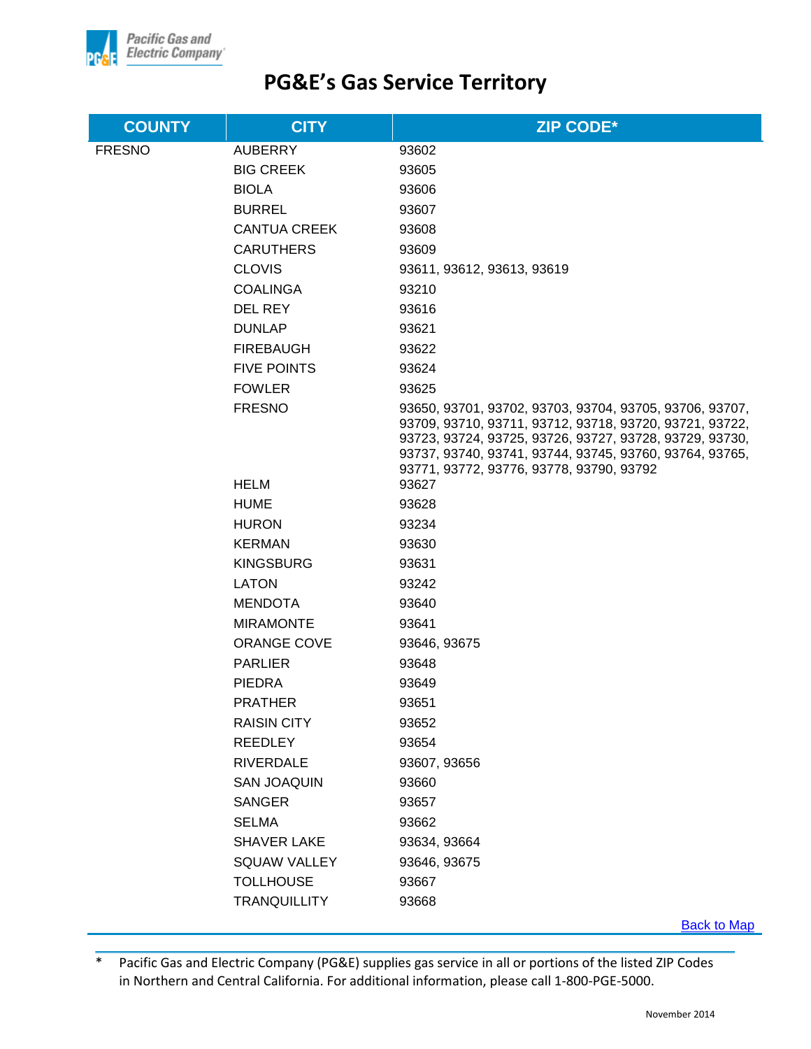

| <b>COUNTY</b> | <b>CITY</b>         | <b>ZIP CODE*</b>                                                                                                                                                                                                                                                                     |
|---------------|---------------------|--------------------------------------------------------------------------------------------------------------------------------------------------------------------------------------------------------------------------------------------------------------------------------------|
| <b>FRESNO</b> | <b>AUBERRY</b>      | 93602                                                                                                                                                                                                                                                                                |
|               | <b>BIG CREEK</b>    | 93605                                                                                                                                                                                                                                                                                |
|               | <b>BIOLA</b>        | 93606                                                                                                                                                                                                                                                                                |
|               | <b>BURREL</b>       | 93607                                                                                                                                                                                                                                                                                |
|               | <b>CANTUA CREEK</b> | 93608                                                                                                                                                                                                                                                                                |
|               | <b>CARUTHERS</b>    | 93609                                                                                                                                                                                                                                                                                |
|               | <b>CLOVIS</b>       | 93611, 93612, 93613, 93619                                                                                                                                                                                                                                                           |
|               | <b>COALINGA</b>     | 93210                                                                                                                                                                                                                                                                                |
|               | DEL REY             | 93616                                                                                                                                                                                                                                                                                |
|               | <b>DUNLAP</b>       | 93621                                                                                                                                                                                                                                                                                |
|               | <b>FIREBAUGH</b>    | 93622                                                                                                                                                                                                                                                                                |
|               | <b>FIVE POINTS</b>  | 93624                                                                                                                                                                                                                                                                                |
|               | <b>FOWLER</b>       | 93625                                                                                                                                                                                                                                                                                |
|               | <b>FRESNO</b>       | 93650, 93701, 93702, 93703, 93704, 93705, 93706, 93707,<br>93709, 93710, 93711, 93712, 93718, 93720, 93721, 93722,<br>93723, 93724, 93725, 93726, 93727, 93728, 93729, 93730,<br>93737, 93740, 93741, 93744, 93745, 93760, 93764, 93765,<br>93771, 93772, 93776, 93778, 93790, 93792 |
|               | <b>HELM</b>         | 93627                                                                                                                                                                                                                                                                                |
|               | <b>HUME</b>         | 93628                                                                                                                                                                                                                                                                                |
|               | <b>HURON</b>        | 93234                                                                                                                                                                                                                                                                                |
|               | <b>KERMAN</b>       | 93630                                                                                                                                                                                                                                                                                |
|               | <b>KINGSBURG</b>    | 93631                                                                                                                                                                                                                                                                                |
|               | <b>LATON</b>        | 93242                                                                                                                                                                                                                                                                                |
|               | <b>MENDOTA</b>      | 93640                                                                                                                                                                                                                                                                                |
|               | <b>MIRAMONTE</b>    | 93641                                                                                                                                                                                                                                                                                |
|               | <b>ORANGE COVE</b>  | 93646, 93675                                                                                                                                                                                                                                                                         |
|               | <b>PARLIER</b>      | 93648                                                                                                                                                                                                                                                                                |
|               | <b>PIEDRA</b>       | 93649                                                                                                                                                                                                                                                                                |
|               | <b>PRATHER</b>      | 93651                                                                                                                                                                                                                                                                                |
|               | <b>RAISIN CITY</b>  | 93652                                                                                                                                                                                                                                                                                |
|               | <b>REEDLEY</b>      | 93654                                                                                                                                                                                                                                                                                |
|               | <b>RIVERDALE</b>    | 93607, 93656                                                                                                                                                                                                                                                                         |
|               | SAN JOAQUIN         | 93660                                                                                                                                                                                                                                                                                |
|               | <b>SANGER</b>       | 93657                                                                                                                                                                                                                                                                                |
|               | <b>SELMA</b>        | 93662                                                                                                                                                                                                                                                                                |
|               | <b>SHAVER LAKE</b>  | 93634, 93664                                                                                                                                                                                                                                                                         |
|               | <b>SQUAW VALLEY</b> | 93646, 93675                                                                                                                                                                                                                                                                         |
|               | <b>TOLLHOUSE</b>    | 93667                                                                                                                                                                                                                                                                                |
|               | <b>TRANQUILLITY</b> | 93668                                                                                                                                                                                                                                                                                |
|               |                     | Book to Man                                                                                                                                                                                                                                                                          |

Back to Map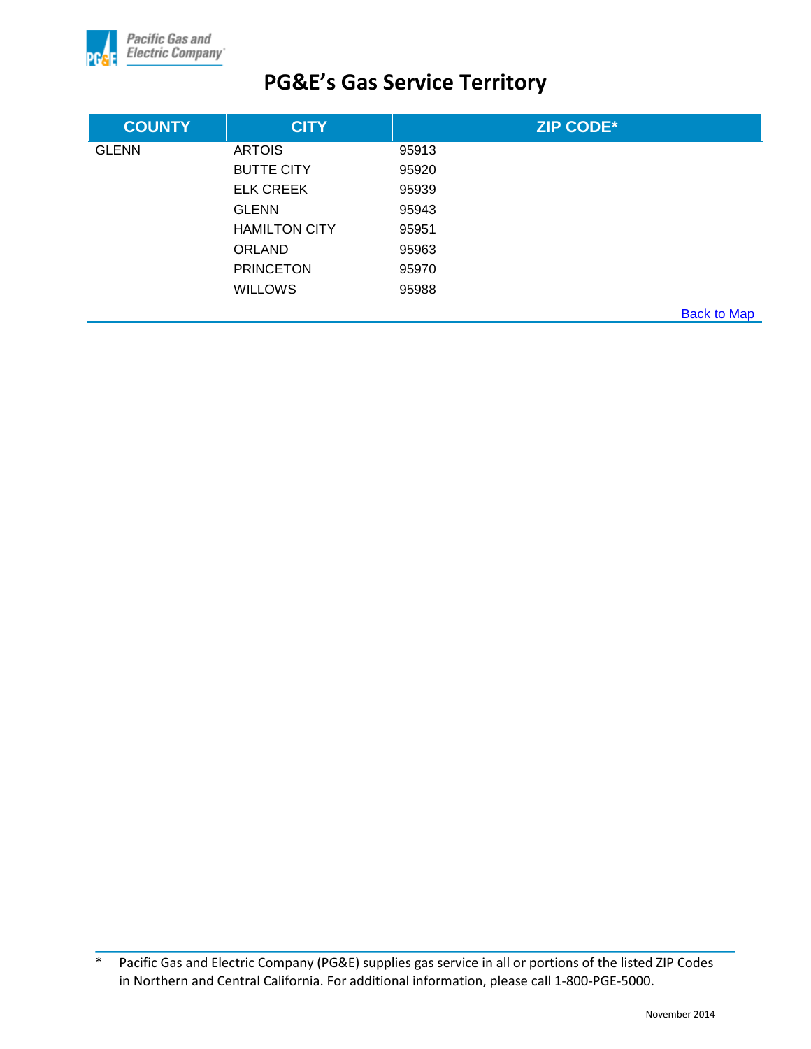

| <b>COUNTY</b> | <b>CITY</b>          | <b>ZIP CODE*</b> |                    |
|---------------|----------------------|------------------|--------------------|
| <b>GLENN</b>  | <b>ARTOIS</b>        | 95913            |                    |
|               | <b>BUTTE CITY</b>    | 95920            |                    |
|               | <b>ELK CREEK</b>     | 95939            |                    |
|               | <b>GLENN</b>         | 95943            |                    |
|               | <b>HAMILTON CITY</b> | 95951            |                    |
|               | <b>ORLAND</b>        | 95963            |                    |
|               | <b>PRINCETON</b>     | 95970            |                    |
|               | <b>WILLOWS</b>       | 95988            |                    |
|               |                      |                  | <b>Back to Map</b> |

<sup>\*</sup> Pacific Gas and Electric Company (PG&E) supplies gas service in all or portions of the listed ZIP Codes in Northern and Central California. For additional information, please call 1-800-PGE-5000.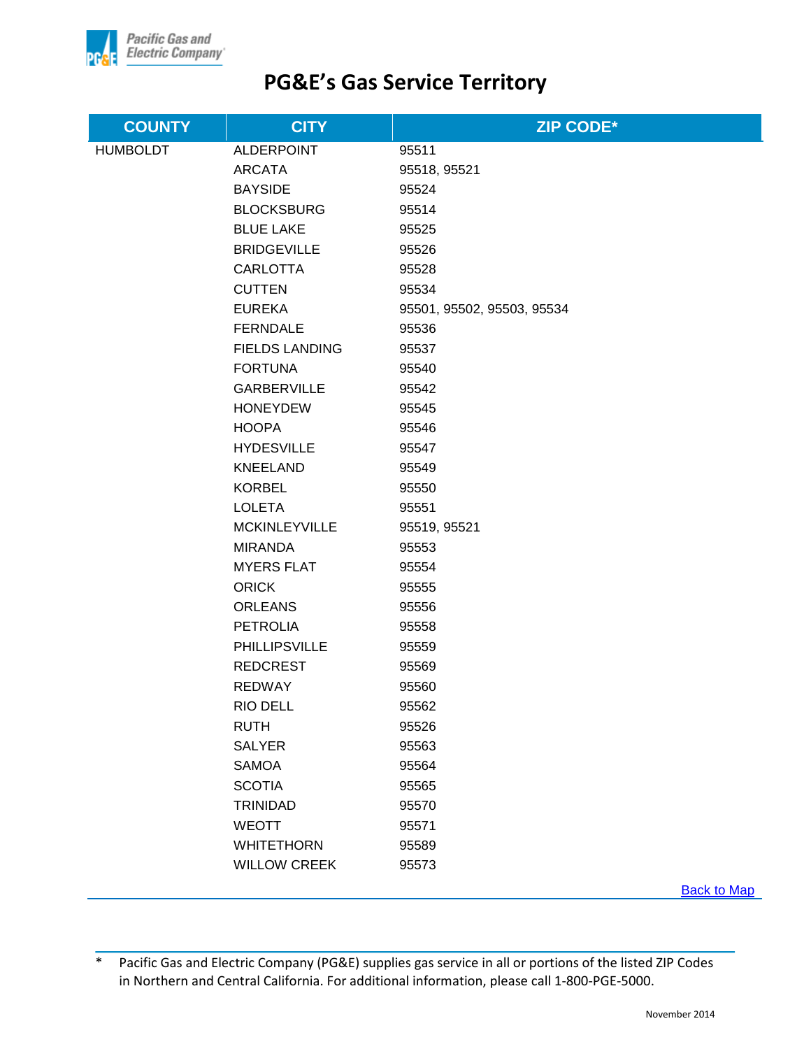

| <b>COUNTY</b>   | <b>CITY</b>           | <b>ZIP CODE*</b>           |
|-----------------|-----------------------|----------------------------|
| <b>HUMBOLDT</b> | <b>ALDERPOINT</b>     | 95511                      |
|                 | <b>ARCATA</b>         | 95518, 95521               |
|                 | <b>BAYSIDE</b>        | 95524                      |
|                 | <b>BLOCKSBURG</b>     | 95514                      |
|                 | <b>BLUE LAKE</b>      | 95525                      |
|                 | <b>BRIDGEVILLE</b>    | 95526                      |
|                 | <b>CARLOTTA</b>       | 95528                      |
|                 | <b>CUTTEN</b>         | 95534                      |
|                 | <b>EUREKA</b>         | 95501, 95502, 95503, 95534 |
|                 | <b>FERNDALE</b>       | 95536                      |
|                 | <b>FIELDS LANDING</b> | 95537                      |
|                 | <b>FORTUNA</b>        | 95540                      |
|                 | <b>GARBERVILLE</b>    | 95542                      |
|                 | <b>HONEYDEW</b>       | 95545                      |
|                 | <b>HOOPA</b>          | 95546                      |
|                 | <b>HYDESVILLE</b>     | 95547                      |
|                 | <b>KNEELAND</b>       | 95549                      |
|                 | <b>KORBEL</b>         | 95550                      |
|                 | <b>LOLETA</b>         | 95551                      |
|                 | <b>MCKINLEYVILLE</b>  | 95519, 95521               |
|                 | <b>MIRANDA</b>        | 95553                      |
|                 | <b>MYERS FLAT</b>     | 95554                      |
|                 | <b>ORICK</b>          | 95555                      |
|                 | <b>ORLEANS</b>        | 95556                      |
|                 | <b>PETROLIA</b>       | 95558                      |
|                 | <b>PHILLIPSVILLE</b>  | 95559                      |
|                 | <b>REDCREST</b>       | 95569                      |
|                 | <b>REDWAY</b>         | 95560                      |
|                 | RIO DELL              | 95562                      |
|                 | <b>RUTH</b>           | 95526                      |
|                 | <b>SALYER</b>         | 95563                      |
|                 | <b>SAMOA</b>          | 95564                      |
|                 | <b>SCOTIA</b>         | 95565                      |
|                 | <b>TRINIDAD</b>       | 95570                      |
|                 | <b>WEOTT</b>          | 95571                      |
|                 | <b>WHITETHORN</b>     | 95589                      |
|                 | <b>WILLOW CREEK</b>   | 95573                      |

[Back to Map](#page-1-0)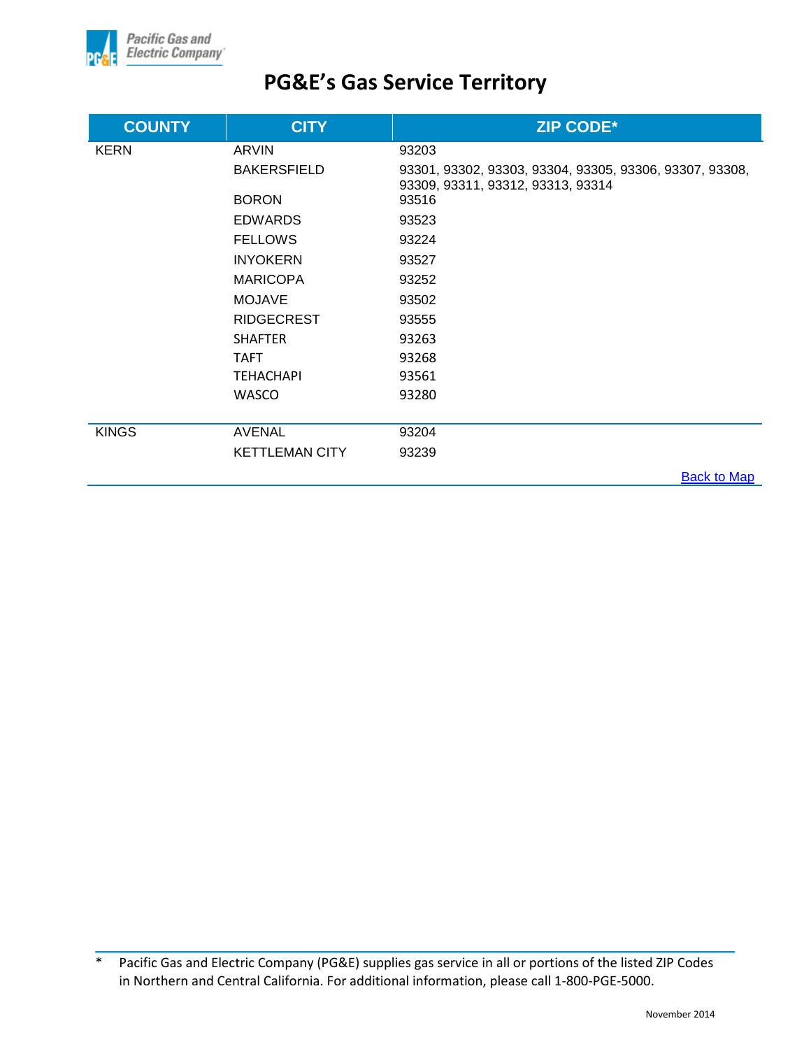

| <b>COUNTY</b> | <b>CITY</b>           | <b>ZIP CODE*</b>                                                                             |
|---------------|-----------------------|----------------------------------------------------------------------------------------------|
| <b>KERN</b>   | <b>ARVIN</b>          | 93203                                                                                        |
|               | <b>BAKERSFIELD</b>    | 93301, 93302, 93303, 93304, 93305, 93306, 93307, 93308,<br>93309, 93311, 93312, 93313, 93314 |
|               | <b>BORON</b>          | 93516                                                                                        |
|               | <b>EDWARDS</b>        | 93523                                                                                        |
|               | <b>FELLOWS</b>        | 93224                                                                                        |
|               | <b>INYOKERN</b>       | 93527                                                                                        |
|               | <b>MARICOPA</b>       | 93252                                                                                        |
|               | <b>MOJAVE</b>         | 93502                                                                                        |
|               | <b>RIDGECREST</b>     | 93555                                                                                        |
|               | <b>SHAFTER</b>        | 93263                                                                                        |
|               | <b>TAFT</b>           | 93268                                                                                        |
|               | <b>TEHACHAPI</b>      | 93561                                                                                        |
|               | <b>WASCO</b>          | 93280                                                                                        |
|               |                       |                                                                                              |
| <b>KINGS</b>  | <b>AVENAL</b>         | 93204                                                                                        |
|               | <b>KETTLEMAN CITY</b> | 93239                                                                                        |
|               |                       | <b>Back to Map</b>                                                                           |

<sup>\*</sup> Pacific Gas and Electric Company (PG&E) supplies gas service in all or portions of the listed ZIP Codes in Northern and Central California. For additional information, please call 1-800-PGE-5000.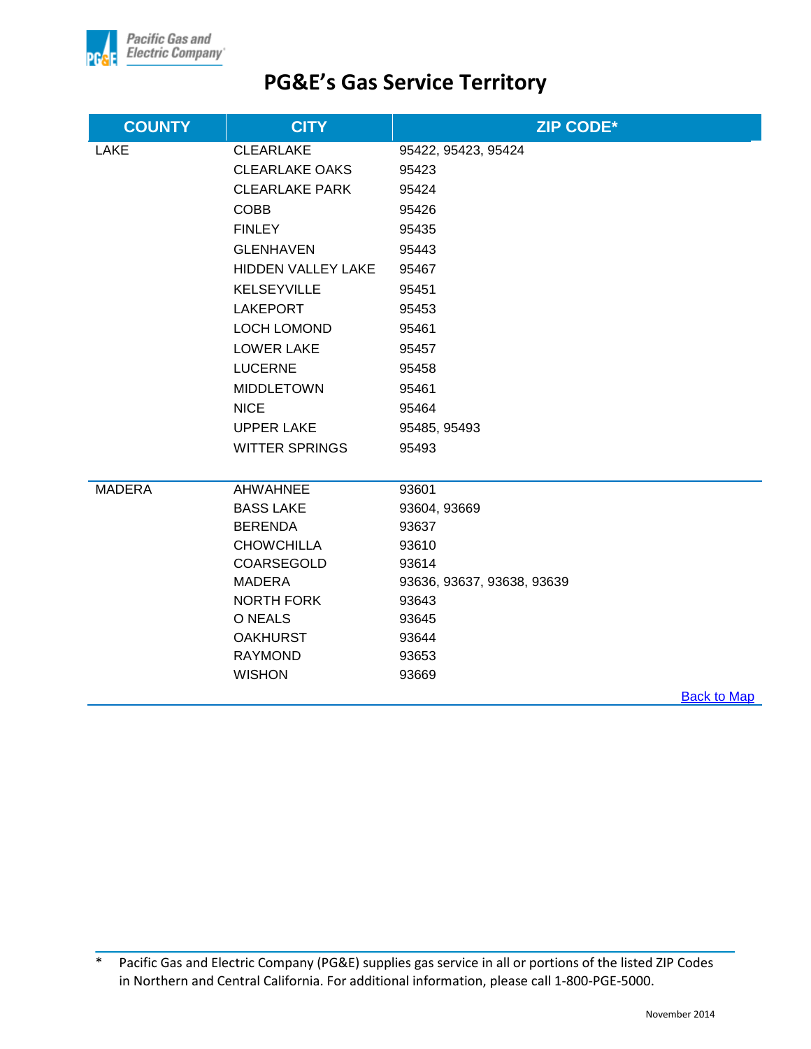

| <b>COUNTY</b> | <b>CITY</b>           | <b>ZIP CODE*</b>           |                    |
|---------------|-----------------------|----------------------------|--------------------|
| <b>LAKE</b>   | <b>CLEARLAKE</b>      | 95422, 95423, 95424        |                    |
|               | <b>CLEARLAKE OAKS</b> | 95423                      |                    |
|               | <b>CLEARLAKE PARK</b> | 95424                      |                    |
|               | <b>COBB</b>           | 95426                      |                    |
|               | <b>FINLEY</b>         | 95435                      |                    |
|               | <b>GLENHAVEN</b>      | 95443                      |                    |
|               | HIDDEN VALLEY LAKE    | 95467                      |                    |
|               | <b>KELSEYVILLE</b>    | 95451                      |                    |
|               | <b>LAKEPORT</b>       | 95453                      |                    |
|               | LOCH LOMOND           | 95461                      |                    |
|               | <b>LOWER LAKE</b>     | 95457                      |                    |
|               | <b>LUCERNE</b>        | 95458                      |                    |
|               | <b>MIDDLETOWN</b>     | 95461                      |                    |
|               | <b>NICE</b>           | 95464                      |                    |
|               | <b>UPPER LAKE</b>     | 95485, 95493               |                    |
|               | <b>WITTER SPRINGS</b> | 95493                      |                    |
| <b>MADERA</b> | <b>AHWAHNEE</b>       | 93601                      |                    |
|               | <b>BASS LAKE</b>      | 93604, 93669               |                    |
|               | <b>BERENDA</b>        | 93637                      |                    |
|               | <b>CHOWCHILLA</b>     | 93610                      |                    |
|               | COARSEGOLD            | 93614                      |                    |
|               | <b>MADERA</b>         | 93636, 93637, 93638, 93639 |                    |
|               | <b>NORTH FORK</b>     | 93643                      |                    |
|               | O NEALS               | 93645                      |                    |
|               | <b>OAKHURST</b>       | 93644                      |                    |
|               | <b>RAYMOND</b>        | 93653                      |                    |
|               | <b>WISHON</b>         | 93669                      |                    |
|               |                       |                            | <b>Back to Map</b> |

<sup>\*</sup> Pacific Gas and Electric Company (PG&E) supplies gas service in all or portions of the listed ZIP Codes in Northern and Central California. For additional information, please call 1-800-PGE-5000.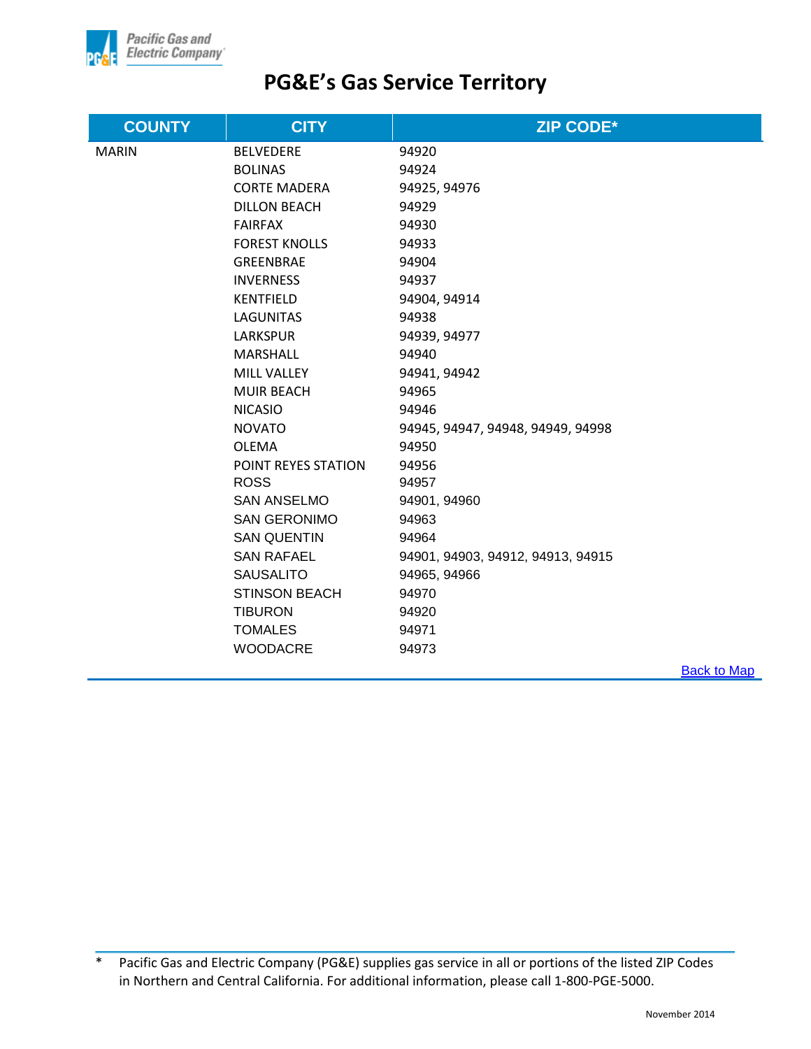

| <b>COUNTY</b> | <b>CITY</b>          | <b>ZIP CODE*</b>                  |
|---------------|----------------------|-----------------------------------|
| <b>MARIN</b>  | <b>BELVEDERE</b>     | 94920                             |
|               | <b>BOLINAS</b>       | 94924                             |
|               | <b>CORTE MADERA</b>  | 94925, 94976                      |
|               | <b>DILLON BEACH</b>  | 94929                             |
|               | <b>FAIRFAX</b>       | 94930                             |
|               | <b>FOREST KNOLLS</b> | 94933                             |
|               | GREENBRAE            | 94904                             |
|               | <b>INVERNESS</b>     | 94937                             |
|               | <b>KENTFIELD</b>     | 94904, 94914                      |
|               | <b>LAGUNITAS</b>     | 94938                             |
|               | <b>LARKSPUR</b>      | 94939, 94977                      |
|               | MARSHALL             | 94940                             |
|               | MILL VALLEY          | 94941, 94942                      |
|               | <b>MUIR BEACH</b>    | 94965                             |
|               | <b>NICASIO</b>       | 94946                             |
|               | <b>NOVATO</b>        | 94945, 94947, 94948, 94949, 94998 |
|               | <b>OLEMA</b>         | 94950                             |
|               | POINT REYES STATION  | 94956                             |
|               | <b>ROSS</b>          | 94957                             |
|               | <b>SAN ANSELMO</b>   | 94901, 94960                      |
|               | <b>SAN GERONIMO</b>  | 94963                             |
|               | <b>SAN QUENTIN</b>   | 94964                             |
|               | <b>SAN RAFAEL</b>    | 94901, 94903, 94912, 94913, 94915 |
|               | <b>SAUSALITO</b>     | 94965, 94966                      |
|               | <b>STINSON BEACH</b> | 94970                             |
|               | <b>TIBURON</b>       | 94920                             |
|               | <b>TOMALES</b>       | 94971                             |
|               | <b>WOODACRE</b>      | 94973                             |
|               |                      | <b>Back to Map</b>                |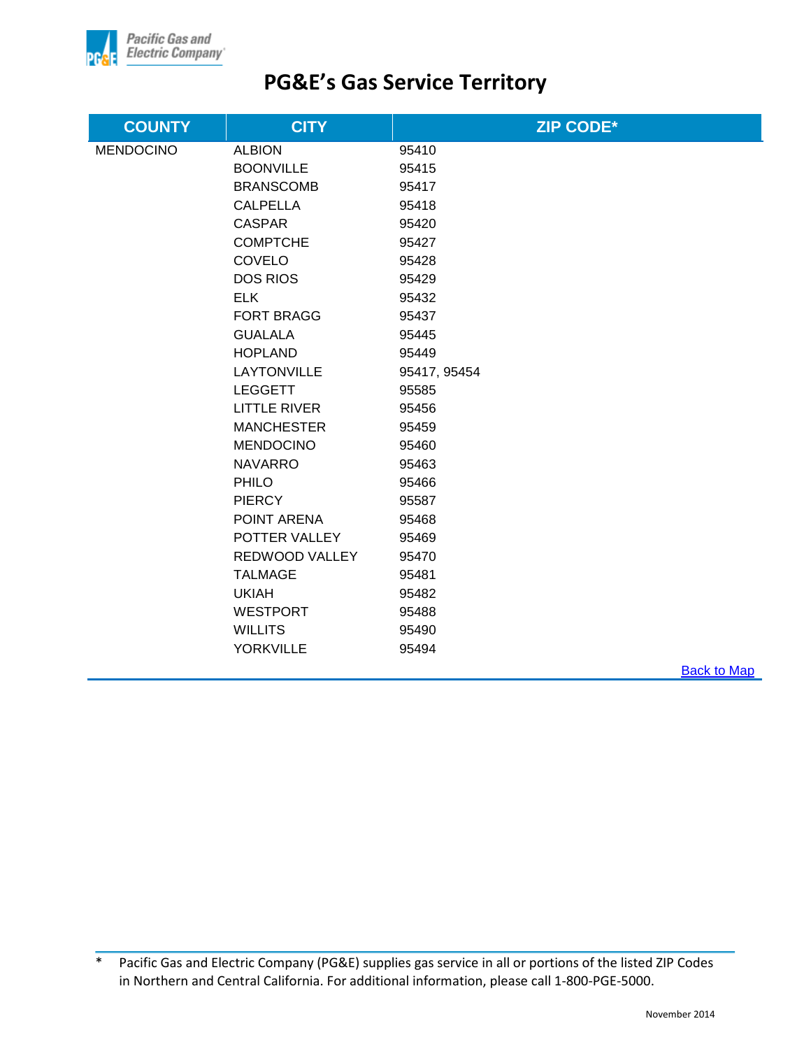

| <b>COUNTY</b>    | <b>CITY</b>         | <b>ZIP CODE*</b> |                    |
|------------------|---------------------|------------------|--------------------|
| <b>MENDOCINO</b> | <b>ALBION</b>       | 95410            |                    |
|                  | <b>BOONVILLE</b>    | 95415            |                    |
|                  | <b>BRANSCOMB</b>    | 95417            |                    |
|                  | <b>CALPELLA</b>     | 95418            |                    |
|                  | <b>CASPAR</b>       | 95420            |                    |
|                  | <b>COMPTCHE</b>     | 95427            |                    |
|                  | COVELO              | 95428            |                    |
|                  | <b>DOS RIOS</b>     | 95429            |                    |
|                  | <b>ELK</b>          | 95432            |                    |
|                  | <b>FORT BRAGG</b>   | 95437            |                    |
|                  | <b>GUALALA</b>      | 95445            |                    |
|                  | <b>HOPLAND</b>      | 95449            |                    |
|                  | <b>LAYTONVILLE</b>  | 95417, 95454     |                    |
|                  | <b>LEGGETT</b>      | 95585            |                    |
|                  | <b>LITTLE RIVER</b> | 95456            |                    |
|                  | <b>MANCHESTER</b>   | 95459            |                    |
|                  | <b>MENDOCINO</b>    | 95460            |                    |
|                  | <b>NAVARRO</b>      | 95463            |                    |
|                  | PHILO               | 95466            |                    |
|                  | <b>PIERCY</b>       | 95587            |                    |
|                  | POINT ARENA         | 95468            |                    |
|                  | POTTER VALLEY       | 95469            |                    |
|                  | REDWOOD VALLEY      | 95470            |                    |
|                  | <b>TALMAGE</b>      | 95481            |                    |
|                  | <b>UKIAH</b>        | 95482            |                    |
|                  | <b>WESTPORT</b>     | 95488            |                    |
|                  | <b>WILLITS</b>      | 95490            |                    |
|                  | <b>YORKVILLE</b>    | 95494            |                    |
|                  |                     |                  | <b>Back to Map</b> |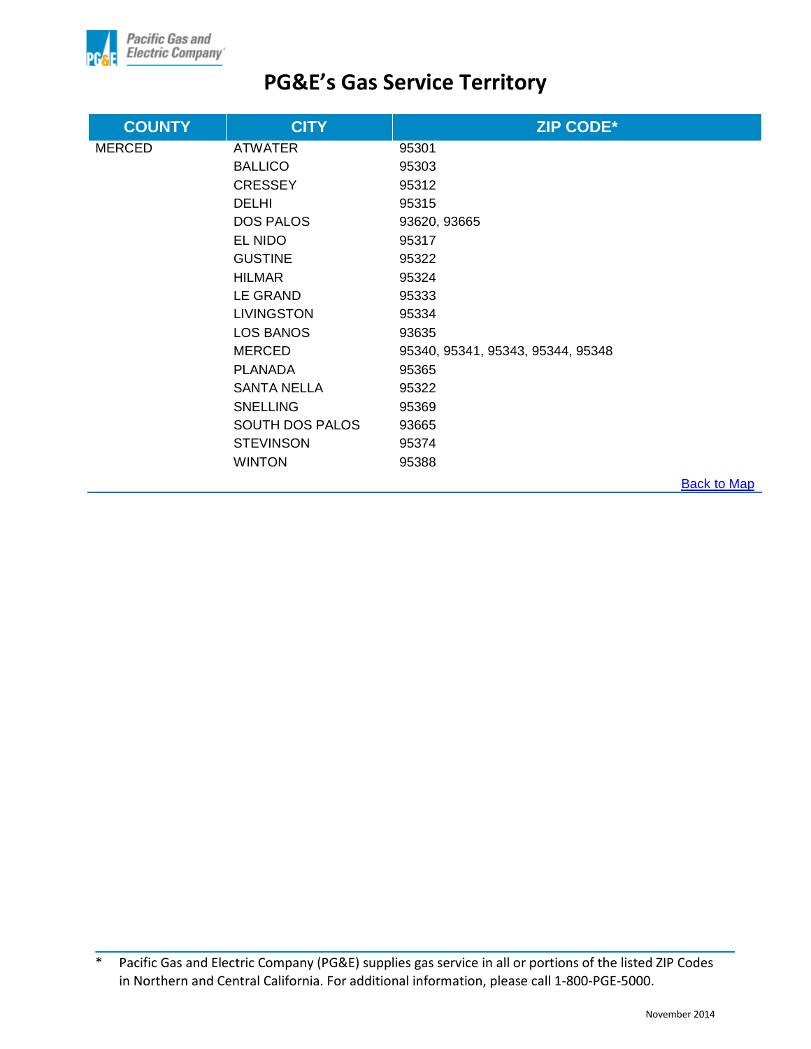

| <b>COUNTY</b> | <b>CITY</b>            | <b>ZIP CODE*</b>                  |                    |
|---------------|------------------------|-----------------------------------|--------------------|
| <b>MERCED</b> | <b>ATWATER</b>         | 95301                             |                    |
|               | <b>BALLICO</b>         | 95303                             |                    |
|               | <b>CRESSEY</b>         | 95312                             |                    |
|               | <b>DELHI</b>           | 95315                             |                    |
|               | <b>DOS PALOS</b>       | 93620, 93665                      |                    |
|               | EL NIDO                | 95317                             |                    |
|               | <b>GUSTINE</b>         | 95322                             |                    |
|               | <b>HILMAR</b>          | 95324                             |                    |
|               | LE GRAND               | 95333                             |                    |
|               | <b>LIVINGSTON</b>      | 95334                             |                    |
|               | LOS BANOS              | 93635                             |                    |
|               | <b>MERCED</b>          | 95340, 95341, 95343, 95344, 95348 |                    |
|               | <b>PLANADA</b>         | 95365                             |                    |
|               | <b>SANTA NELLA</b>     | 95322                             |                    |
|               | <b>SNELLING</b>        | 95369                             |                    |
|               | <b>SOUTH DOS PALOS</b> | 93665                             |                    |
|               | <b>STEVINSON</b>       | 95374                             |                    |
|               | <b>WINTON</b>          | 95388                             |                    |
|               |                        |                                   | <b>Back to Map</b> |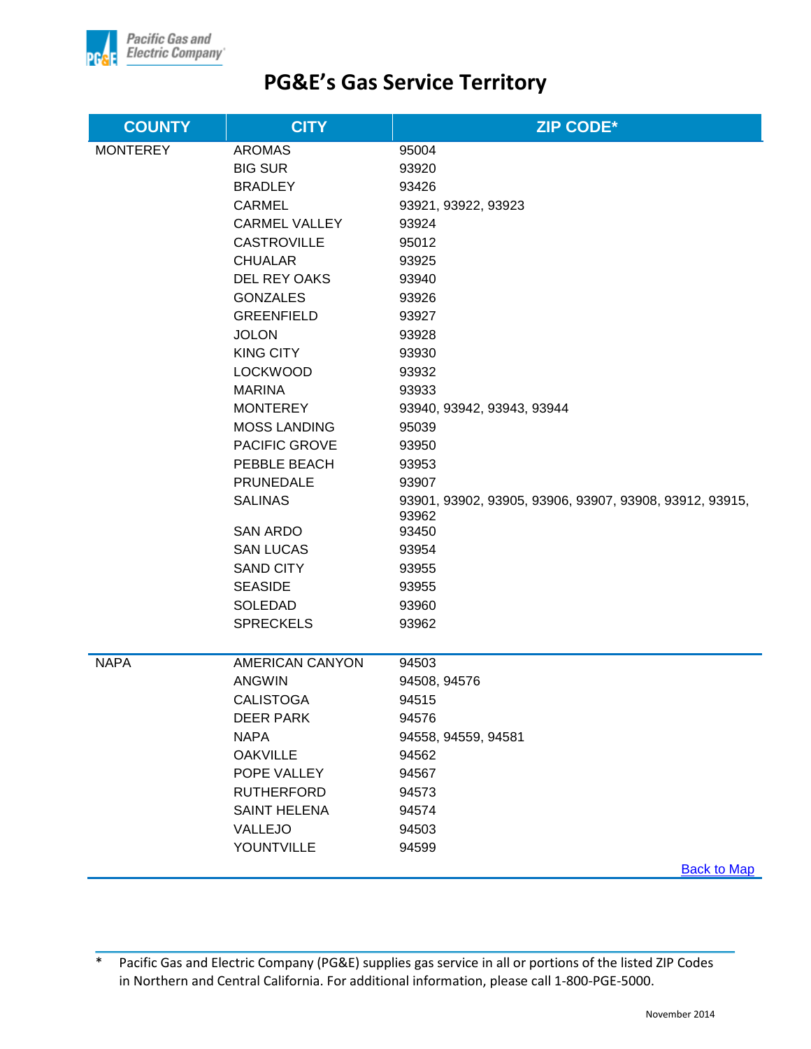

| <b>COUNTY</b>   | <b>CITY</b>            | <b>ZIP CODE*</b>                                                 |
|-----------------|------------------------|------------------------------------------------------------------|
| <b>MONTEREY</b> | <b>AROMAS</b>          | 95004                                                            |
|                 | <b>BIG SUR</b>         | 93920                                                            |
|                 | <b>BRADLEY</b>         | 93426                                                            |
|                 | <b>CARMEL</b>          | 93921, 93922, 93923                                              |
|                 | <b>CARMEL VALLEY</b>   | 93924                                                            |
|                 | <b>CASTROVILLE</b>     | 95012                                                            |
|                 | <b>CHUALAR</b>         | 93925                                                            |
|                 | <b>DEL REY OAKS</b>    | 93940                                                            |
|                 | <b>GONZALES</b>        | 93926                                                            |
|                 | <b>GREENFIELD</b>      | 93927                                                            |
|                 | <b>JOLON</b>           | 93928                                                            |
|                 | <b>KING CITY</b>       | 93930                                                            |
|                 | <b>LOCKWOOD</b>        | 93932                                                            |
|                 | <b>MARINA</b>          | 93933                                                            |
|                 | <b>MONTEREY</b>        | 93940, 93942, 93943, 93944                                       |
|                 | <b>MOSS LANDING</b>    | 95039                                                            |
|                 | PACIFIC GROVE          | 93950                                                            |
|                 | PEBBLE BEACH           | 93953                                                            |
|                 | PRUNEDALE              | 93907                                                            |
|                 | <b>SALINAS</b>         | 93901, 93902, 93905, 93906, 93907, 93908, 93912, 93915,<br>93962 |
|                 | <b>SAN ARDO</b>        | 93450                                                            |
|                 | <b>SAN LUCAS</b>       | 93954                                                            |
|                 | <b>SAND CITY</b>       | 93955                                                            |
|                 | <b>SEASIDE</b>         | 93955                                                            |
|                 | <b>SOLEDAD</b>         | 93960                                                            |
|                 | <b>SPRECKELS</b>       | 93962                                                            |
|                 |                        |                                                                  |
| <b>NAPA</b>     | <b>AMERICAN CANYON</b> | 94503                                                            |
|                 | <b>ANGWIN</b>          | 94508, 94576                                                     |
|                 | <b>CALISTOGA</b>       | 94515                                                            |
|                 | <b>DEER PARK</b>       | 94576                                                            |
|                 | <b>NAPA</b>            | 94558, 94559, 94581                                              |
|                 | <b>OAKVILLE</b>        | 94562                                                            |
|                 | POPE VALLEY            | 94567                                                            |
|                 | <b>RUTHERFORD</b>      | 94573                                                            |
|                 | <b>SAINT HELENA</b>    | 94574                                                            |
|                 | <b>VALLEJO</b>         | 94503                                                            |
|                 | YOUNTVILLE             | 94599                                                            |
|                 |                        | Rock to Man                                                      |

**Back to Map**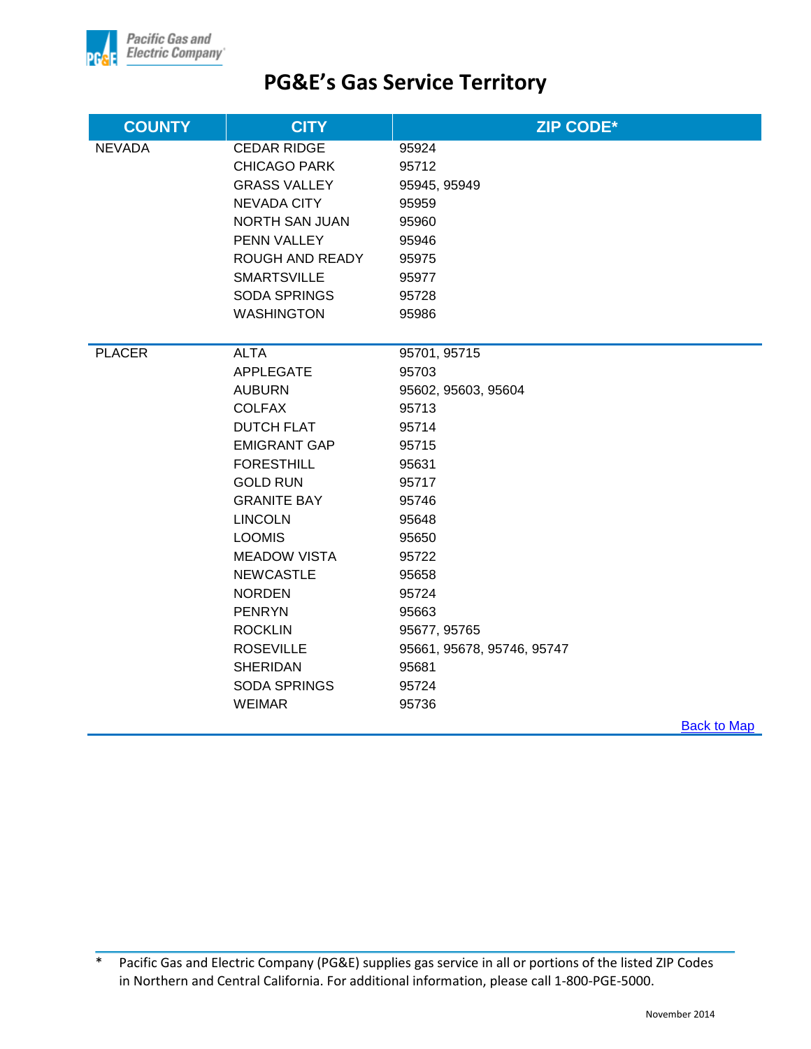

| <b>COUNTY</b> | <b>CITY</b>           | <b>ZIP CODE*</b>           |                    |
|---------------|-----------------------|----------------------------|--------------------|
| <b>NEVADA</b> | <b>CEDAR RIDGE</b>    | 95924                      |                    |
|               | <b>CHICAGO PARK</b>   | 95712                      |                    |
|               | <b>GRASS VALLEY</b>   | 95945, 95949               |                    |
|               | <b>NEVADA CITY</b>    | 95959                      |                    |
|               | <b>NORTH SAN JUAN</b> | 95960                      |                    |
|               | PENN VALLEY           | 95946                      |                    |
|               | ROUGH AND READY       | 95975                      |                    |
|               | <b>SMARTSVILLE</b>    | 95977                      |                    |
|               | <b>SODA SPRINGS</b>   | 95728                      |                    |
|               | <b>WASHINGTON</b>     | 95986                      |                    |
|               |                       |                            |                    |
| <b>PLACER</b> | <b>ALTA</b>           | 95701, 95715               |                    |
|               | <b>APPLEGATE</b>      | 95703                      |                    |
|               | <b>AUBURN</b>         | 95602, 95603, 95604        |                    |
|               | <b>COLFAX</b>         | 95713                      |                    |
|               | <b>DUTCH FLAT</b>     | 95714                      |                    |
|               | <b>EMIGRANT GAP</b>   | 95715                      |                    |
|               | <b>FORESTHILL</b>     | 95631                      |                    |
|               | <b>GOLD RUN</b>       | 95717                      |                    |
|               | <b>GRANITE BAY</b>    | 95746                      |                    |
|               | <b>LINCOLN</b>        | 95648                      |                    |
|               | <b>LOOMIS</b>         | 95650                      |                    |
|               | <b>MEADOW VISTA</b>   | 95722                      |                    |
|               | <b>NEWCASTLE</b>      | 95658                      |                    |
|               | <b>NORDEN</b>         | 95724                      |                    |
|               | <b>PENRYN</b>         | 95663                      |                    |
|               | <b>ROCKLIN</b>        | 95677, 95765               |                    |
|               | <b>ROSEVILLE</b>      | 95661, 95678, 95746, 95747 |                    |
|               | <b>SHERIDAN</b>       | 95681                      |                    |
|               | <b>SODA SPRINGS</b>   | 95724                      |                    |
|               | <b>WEIMAR</b>         | 95736                      |                    |
|               |                       |                            | <b>Back to Map</b> |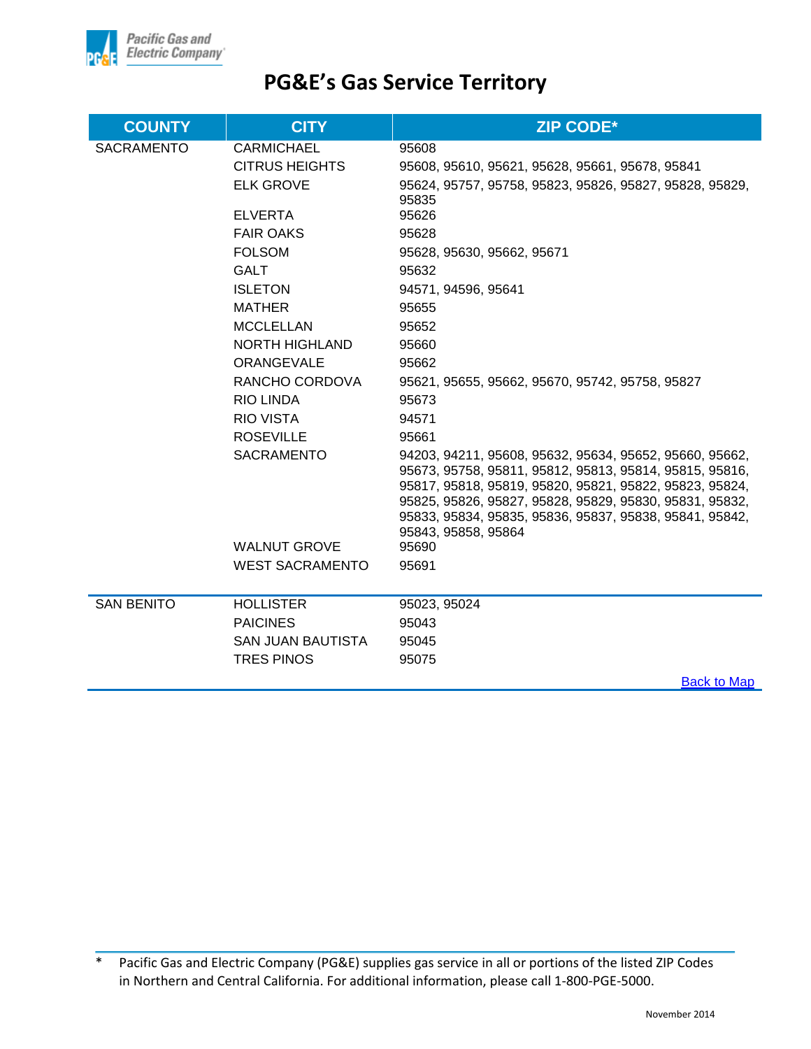

| <b>COUNTY</b>     | <b>CITY</b>            | <b>ZIP CODE*</b>                                                                                                                                                                                                                                                                                                           |
|-------------------|------------------------|----------------------------------------------------------------------------------------------------------------------------------------------------------------------------------------------------------------------------------------------------------------------------------------------------------------------------|
| <b>SACRAMENTO</b> | <b>CARMICHAEL</b>      | 95608                                                                                                                                                                                                                                                                                                                      |
|                   | <b>CITRUS HEIGHTS</b>  | 95608, 95610, 95621, 95628, 95661, 95678, 95841                                                                                                                                                                                                                                                                            |
|                   | <b>ELK GROVE</b>       | 95624, 95757, 95758, 95823, 95826, 95827, 95828, 95829,<br>95835                                                                                                                                                                                                                                                           |
|                   | <b>ELVERTA</b>         | 95626                                                                                                                                                                                                                                                                                                                      |
|                   | <b>FAIR OAKS</b>       | 95628                                                                                                                                                                                                                                                                                                                      |
|                   | <b>FOLSOM</b>          | 95628, 95630, 95662, 95671                                                                                                                                                                                                                                                                                                 |
|                   | <b>GALT</b>            | 95632                                                                                                                                                                                                                                                                                                                      |
|                   | <b>ISLETON</b>         | 94571, 94596, 95641                                                                                                                                                                                                                                                                                                        |
|                   | <b>MATHER</b>          | 95655                                                                                                                                                                                                                                                                                                                      |
|                   | <b>MCCLELLAN</b>       | 95652                                                                                                                                                                                                                                                                                                                      |
|                   | <b>NORTH HIGHLAND</b>  | 95660                                                                                                                                                                                                                                                                                                                      |
|                   | ORANGEVALE             | 95662                                                                                                                                                                                                                                                                                                                      |
|                   | RANCHO CORDOVA         | 95621, 95655, 95662, 95670, 95742, 95758, 95827                                                                                                                                                                                                                                                                            |
|                   | <b>RIO LINDA</b>       | 95673                                                                                                                                                                                                                                                                                                                      |
|                   | <b>RIO VISTA</b>       | 94571                                                                                                                                                                                                                                                                                                                      |
|                   | <b>ROSEVILLE</b>       | 95661                                                                                                                                                                                                                                                                                                                      |
|                   | <b>SACRAMENTO</b>      | 94203, 94211, 95608, 95632, 95634, 95652, 95660, 95662,<br>95673, 95758, 95811, 95812, 95813, 95814, 95815, 95816,<br>95817, 95818, 95819, 95820, 95821, 95822, 95823, 95824,<br>95825, 95826, 95827, 95828, 95829, 95830, 95831, 95832,<br>95833, 95834, 95835, 95836, 95837, 95838, 95841, 95842,<br>95843, 95858, 95864 |
|                   | <b>WALNUT GROVE</b>    | 95690                                                                                                                                                                                                                                                                                                                      |
|                   | <b>WEST SACRAMENTO</b> | 95691                                                                                                                                                                                                                                                                                                                      |
| <b>SAN BENITO</b> | <b>HOLLISTER</b>       | 95023, 95024                                                                                                                                                                                                                                                                                                               |
|                   | <b>PAICINES</b>        | 95043                                                                                                                                                                                                                                                                                                                      |
|                   | SAN JUAN BAUTISTA      | 95045                                                                                                                                                                                                                                                                                                                      |
|                   | <b>TRES PINOS</b>      | 95075                                                                                                                                                                                                                                                                                                                      |
|                   |                        | <b>Back to Map</b>                                                                                                                                                                                                                                                                                                         |

<sup>\*</sup> Pacific Gas and Electric Company (PG&E) supplies gas service in all or portions of the listed ZIP Codes in Northern and Central California. For additional information, please call 1-800-PGE-5000.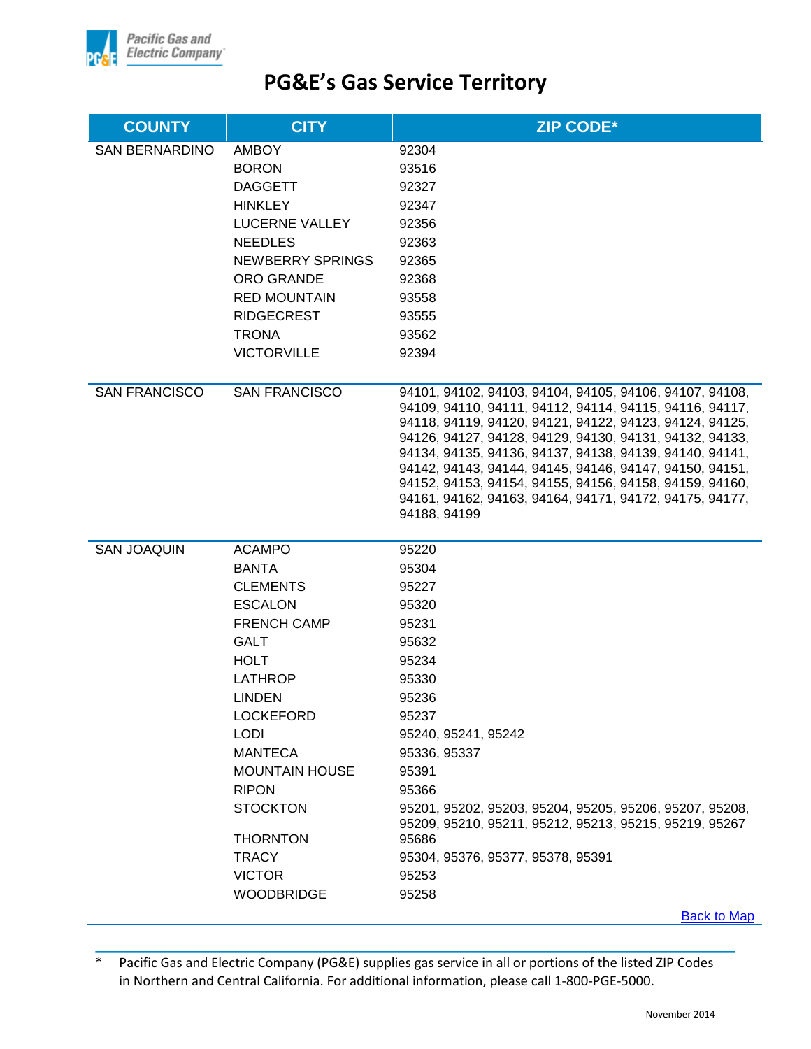

| <b>COUNTY</b>         | <b>CITY</b>             | <b>ZIP CODE*</b>                                                                                                   |
|-----------------------|-------------------------|--------------------------------------------------------------------------------------------------------------------|
| <b>SAN BERNARDINO</b> | <b>AMBOY</b>            | 92304                                                                                                              |
|                       | <b>BORON</b>            | 93516                                                                                                              |
|                       | <b>DAGGETT</b>          | 92327                                                                                                              |
|                       | <b>HINKLEY</b>          | 92347                                                                                                              |
|                       | LUCERNE VALLEY          | 92356                                                                                                              |
|                       | <b>NEEDLES</b>          | 92363                                                                                                              |
|                       | <b>NEWBERRY SPRINGS</b> | 92365                                                                                                              |
|                       | <b>ORO GRANDE</b>       | 92368                                                                                                              |
|                       | <b>RED MOUNTAIN</b>     | 93558                                                                                                              |
|                       | <b>RIDGECREST</b>       | 93555                                                                                                              |
|                       | <b>TRONA</b>            | 93562                                                                                                              |
|                       | <b>VICTORVILLE</b>      | 92394                                                                                                              |
| <b>SAN FRANCISCO</b>  | <b>SAN FRANCISCO</b>    | 94101, 94102, 94103, 94104, 94105, 94106, 94107, 94108,                                                            |
|                       |                         | 94109, 94110, 94111, 94112, 94114, 94115, 94116, 94117,                                                            |
|                       |                         | 94118, 94119, 94120, 94121, 94122, 94123, 94124, 94125,<br>94126, 94127, 94128, 94129, 94130, 94131, 94132, 94133, |
|                       |                         | 94134, 94135, 94136, 94137, 94138, 94139, 94140, 94141,                                                            |
|                       |                         | 94142, 94143, 94144, 94145, 94146, 94147, 94150, 94151,                                                            |
|                       |                         | 94152, 94153, 94154, 94155, 94156, 94158, 94159, 94160,                                                            |
|                       |                         | 94161, 94162, 94163, 94164, 94171, 94172, 94175, 94177,<br>94188, 94199                                            |
|                       |                         |                                                                                                                    |
| <b>SAN JOAQUIN</b>    | <b>ACAMPO</b>           | 95220                                                                                                              |
|                       | <b>BANTA</b>            | 95304                                                                                                              |
|                       | <b>CLEMENTS</b>         | 95227                                                                                                              |
|                       | <b>ESCALON</b>          | 95320                                                                                                              |
|                       | <b>FRENCH CAMP</b>      | 95231                                                                                                              |
|                       | <b>GALT</b>             | 95632                                                                                                              |
|                       | <b>HOLT</b>             | 95234                                                                                                              |
|                       | <b>LATHROP</b>          | 95330                                                                                                              |
|                       | <b>LINDEN</b>           | 95236                                                                                                              |
|                       | <b>LOCKEFORD</b>        | 95237                                                                                                              |
|                       | <b>LODI</b>             | 95240, 95241, 95242                                                                                                |
|                       | <b>MANTECA</b>          | 95336, 95337                                                                                                       |
|                       | <b>MOUNTAIN HOUSE</b>   | 95391                                                                                                              |
|                       | <b>RIPON</b>            | 95366                                                                                                              |
|                       | <b>STOCKTON</b>         | 95201, 95202, 95203, 95204, 95205, 95206, 95207, 95208,<br>95209, 95210, 95211, 95212, 95213, 95215, 95219, 95267  |
|                       | <b>THORNTON</b>         | 95686                                                                                                              |
|                       | <b>TRACY</b>            | 95304, 95376, 95377, 95378, 95391                                                                                  |
|                       | <b>VICTOR</b>           | 95253                                                                                                              |
|                       | <b>WOODBRIDGE</b>       | 95258                                                                                                              |
|                       |                         | <b>Back to Map</b>                                                                                                 |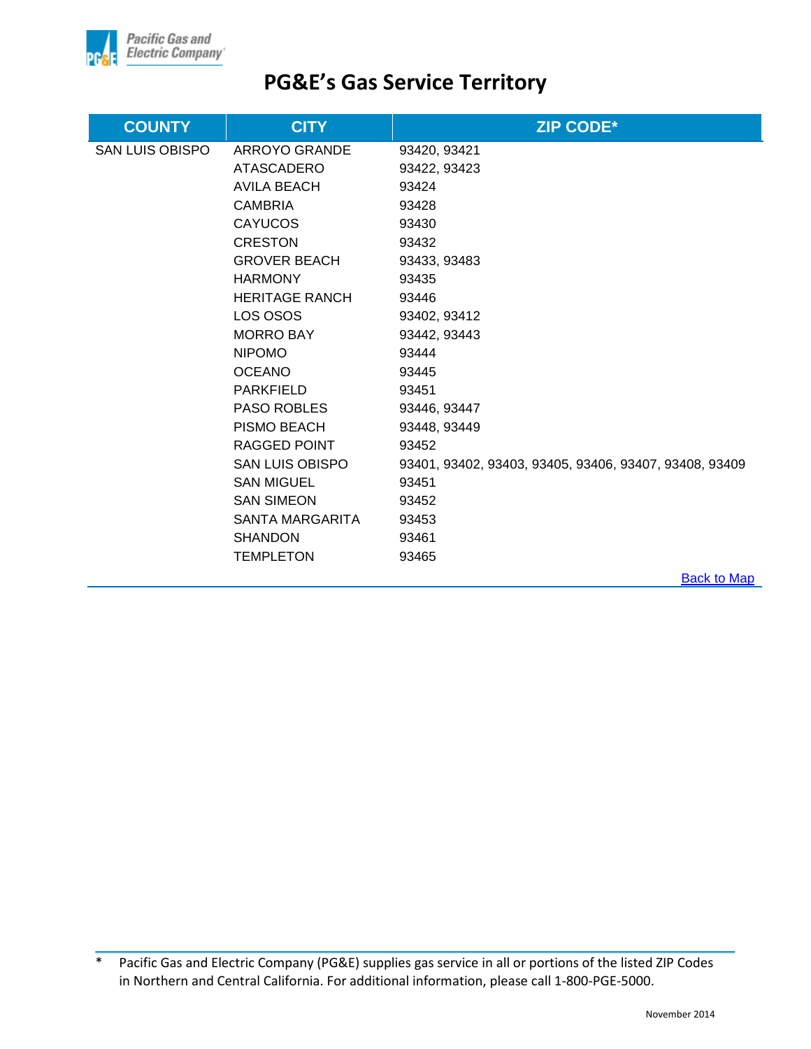

| <b>COUNTY</b>          | <b>CITY</b>            | <b>ZIP CODE*</b>                                       |
|------------------------|------------------------|--------------------------------------------------------|
| <b>SAN LUIS OBISPO</b> | ARROYO GRANDE          | 93420, 93421                                           |
|                        | ATASCADERO             | 93422, 93423                                           |
|                        | AVILA BEACH            | 93424                                                  |
|                        | <b>CAMBRIA</b>         | 93428                                                  |
|                        | <b>CAYUCOS</b>         | 93430                                                  |
|                        | <b>CRESTON</b>         | 93432                                                  |
|                        | <b>GROVER BEACH</b>    | 93433, 93483                                           |
|                        | <b>HARMONY</b>         | 93435                                                  |
|                        | HERITAGE RANCH         | 93446                                                  |
|                        | LOS OSOS               | 93402, 93412                                           |
|                        | MORRO BAY              | 93442, 93443                                           |
|                        | <b>NIPOMO</b>          | 93444                                                  |
|                        | <b>OCEANO</b>          | 93445                                                  |
|                        | <b>PARKFIELD</b>       | 93451                                                  |
|                        | <b>PASO ROBLES</b>     | 93446, 93447                                           |
|                        | PISMO BEACH            | 93448, 93449                                           |
|                        | RAGGED POINT           | 93452                                                  |
|                        | <b>SAN LUIS OBISPO</b> | 93401, 93402, 93403, 93405, 93406, 93407, 93408, 93409 |
|                        | <b>SAN MIGUEL</b>      | 93451                                                  |
|                        | <b>SAN SIMEON</b>      | 93452                                                  |
|                        | SANTA MARGARITA        | 93453                                                  |
|                        | <b>SHANDON</b>         | 93461                                                  |
|                        | <b>TEMPLETON</b>       | 93465                                                  |
|                        |                        | <b>Back to Map</b>                                     |

<sup>\*</sup> Pacific Gas and Electric Company (PG&E) supplies gas service in all or portions of the listed ZIP Codes in Northern and Central California. For additional information, please call 1-800-PGE-5000.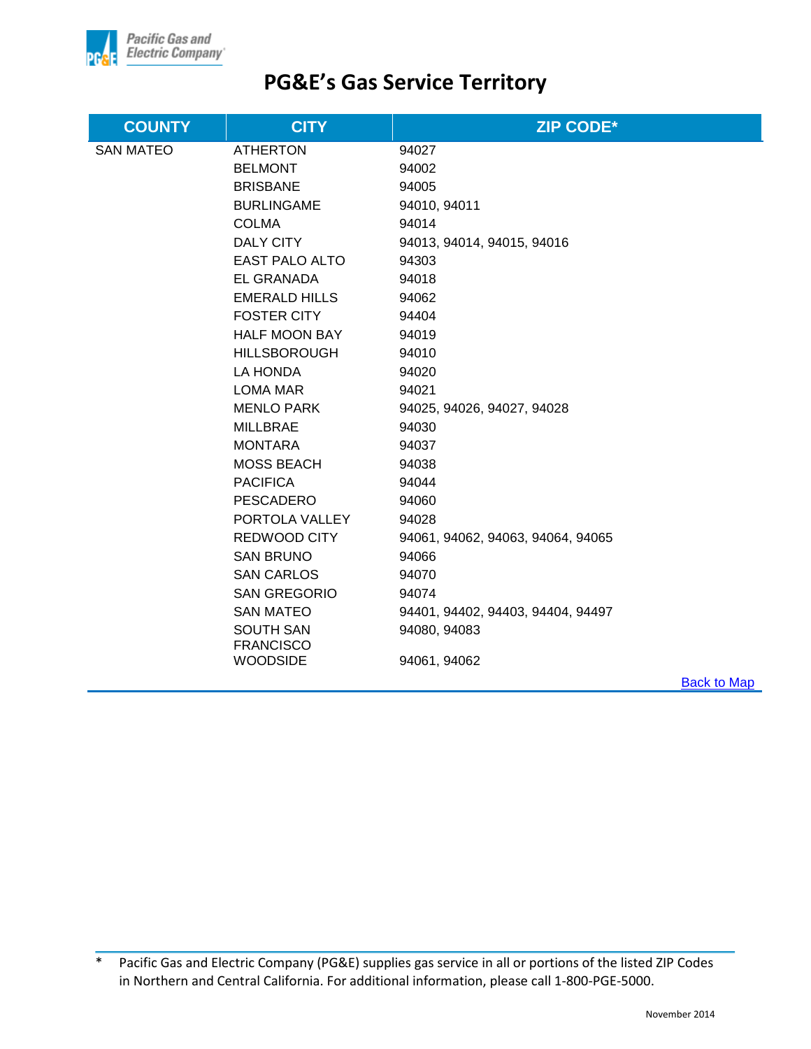

| <b>COUNTY</b>    | <b>CITY</b>           | <b>ZIP CODE*</b>                  |             |
|------------------|-----------------------|-----------------------------------|-------------|
| <b>SAN MATEO</b> | <b>ATHERTON</b>       | 94027                             |             |
|                  | <b>BELMONT</b>        | 94002                             |             |
|                  | <b>BRISBANE</b>       | 94005                             |             |
|                  | <b>BURLINGAME</b>     | 94010, 94011                      |             |
|                  | <b>COLMA</b>          | 94014                             |             |
|                  | DALY CITY             | 94013, 94014, 94015, 94016        |             |
|                  | <b>EAST PALO ALTO</b> | 94303                             |             |
|                  | EL GRANADA            | 94018                             |             |
|                  | <b>EMERALD HILLS</b>  | 94062                             |             |
|                  | <b>FOSTER CITY</b>    | 94404                             |             |
|                  | <b>HALF MOON BAY</b>  | 94019                             |             |
|                  | <b>HILLSBOROUGH</b>   | 94010                             |             |
|                  | LA HONDA              | 94020                             |             |
|                  | <b>LOMA MAR</b>       | 94021                             |             |
|                  | <b>MENLO PARK</b>     | 94025, 94026, 94027, 94028        |             |
|                  | <b>MILLBRAE</b>       | 94030                             |             |
|                  | <b>MONTARA</b>        | 94037                             |             |
|                  | <b>MOSS BEACH</b>     | 94038                             |             |
|                  | <b>PACIFICA</b>       | 94044                             |             |
|                  | <b>PESCADERO</b>      | 94060                             |             |
|                  | PORTOLA VALLEY        | 94028                             |             |
|                  | <b>REDWOOD CITY</b>   | 94061, 94062, 94063, 94064, 94065 |             |
|                  | <b>SAN BRUNO</b>      | 94066                             |             |
|                  | <b>SAN CARLOS</b>     | 94070                             |             |
|                  | <b>SAN GREGORIO</b>   | 94074                             |             |
|                  | <b>SAN MATEO</b>      | 94401, 94402, 94403, 94404, 94497 |             |
|                  | <b>SOUTH SAN</b>      | 94080, 94083                      |             |
|                  | <b>FRANCISCO</b>      |                                   |             |
|                  | <b>WOODSIDE</b>       | 94061, 94062                      |             |
|                  |                       |                                   | Back to Map |

[Back to Map](#page-1-0)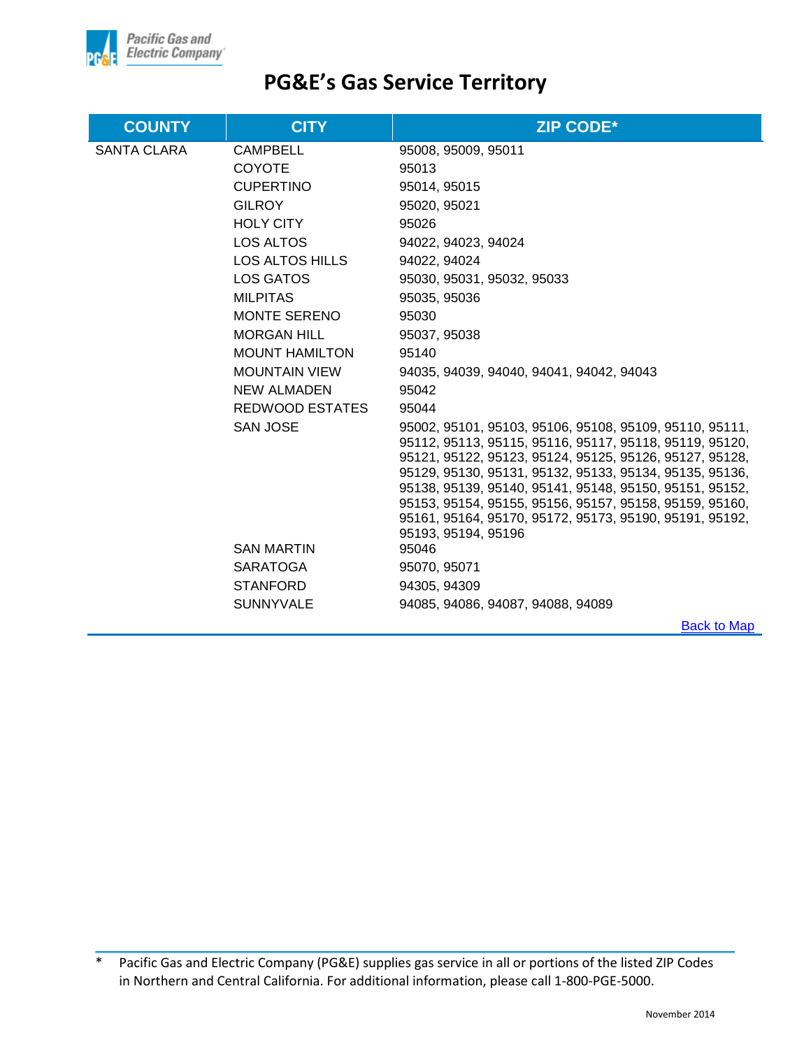

| <b>COUNTY</b>      | <b>CITY</b>           | <b>ZIP CODE*</b>                                                                                                   |
|--------------------|-----------------------|--------------------------------------------------------------------------------------------------------------------|
| <b>SANTA CLARA</b> | <b>CAMPBELL</b>       | 95008, 95009, 95011                                                                                                |
|                    | <b>COYOTE</b>         | 95013                                                                                                              |
|                    | <b>CUPERTINO</b>      | 95014, 95015                                                                                                       |
|                    | <b>GILROY</b>         | 95020, 95021                                                                                                       |
|                    | <b>HOLY CITY</b>      | 95026                                                                                                              |
|                    | <b>LOS ALTOS</b>      | 94022, 94023, 94024                                                                                                |
|                    | LOS ALTOS HILLS       | 94022, 94024                                                                                                       |
|                    | LOS GATOS             | 95030, 95031, 95032, 95033                                                                                         |
|                    | <b>MILPITAS</b>       | 95035, 95036                                                                                                       |
|                    | <b>MONTE SERENO</b>   | 95030                                                                                                              |
|                    | <b>MORGAN HILL</b>    | 95037, 95038                                                                                                       |
|                    | <b>MOUNT HAMILTON</b> | 95140                                                                                                              |
|                    | <b>MOUNTAIN VIEW</b>  | 94035, 94039, 94040, 94041, 94042, 94043                                                                           |
|                    | NEW ALMADEN           | 95042                                                                                                              |
|                    | REDWOOD ESTATES       | 95044                                                                                                              |
|                    | <b>SAN JOSE</b>       | 95002, 95101, 95103, 95106, 95108, 95109, 95110, 95111,                                                            |
|                    |                       | 95112, 95113, 95115, 95116, 95117, 95118, 95119, 95120,                                                            |
|                    |                       | 95121, 95122, 95123, 95124, 95125, 95126, 95127, 95128,                                                            |
|                    |                       | 95129, 95130, 95131, 95132, 95133, 95134, 95135, 95136,<br>95138, 95139, 95140, 95141, 95148, 95150, 95151, 95152, |
|                    |                       | 95153, 95154, 95155, 95156, 95157, 95158, 95159, 95160,                                                            |
|                    |                       | 95161, 95164, 95170, 95172, 95173, 95190, 95191, 95192,                                                            |
|                    |                       | 95193, 95194, 95196                                                                                                |
|                    | <b>SAN MARTIN</b>     | 95046                                                                                                              |
|                    | SARATOGA              | 95070, 95071                                                                                                       |
|                    | <b>STANFORD</b>       | 94305, 94309                                                                                                       |
|                    | <b>SUNNYVALE</b>      | 94085, 94086, 94087, 94088, 94089                                                                                  |
|                    |                       | <b>Back to Map</b>                                                                                                 |

<sup>\*</sup> Pacific Gas and Electric Company (PG&E) supplies gas service in all or portions of the listed ZIP Codes in Northern and Central California. For additional information, please call 1-800-PGE-5000.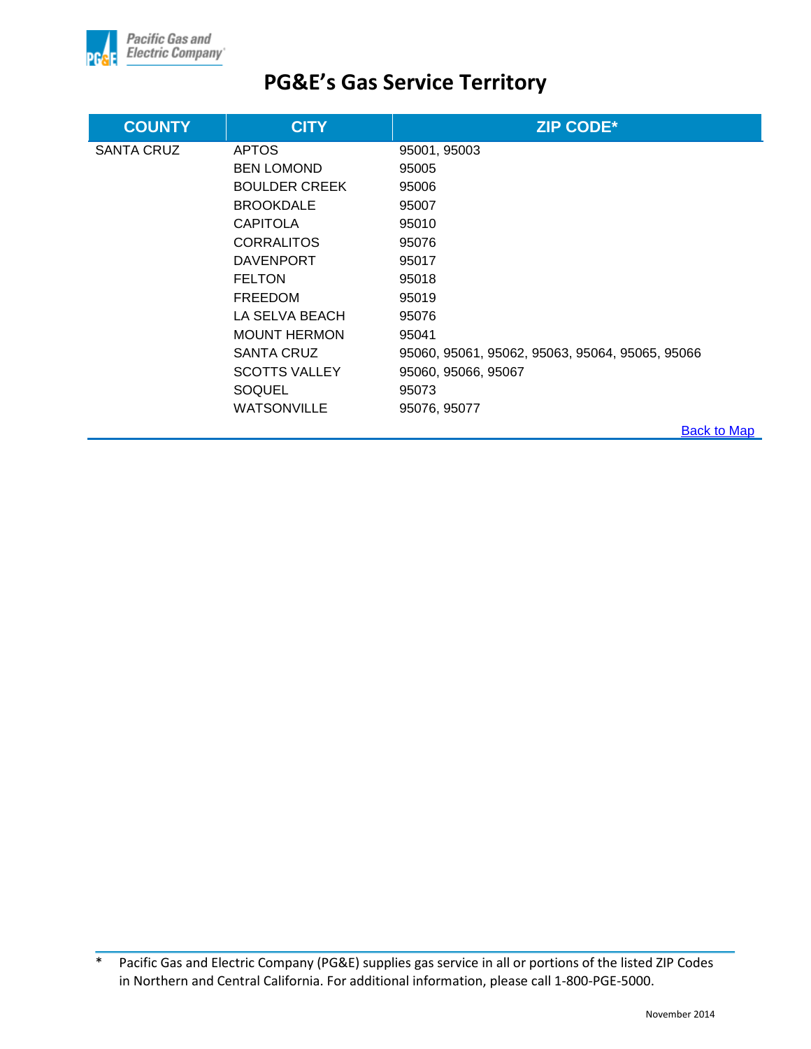

| <b>COUNTY</b>     | <b>CITY</b>          | <b>ZIP CODE*</b>                                |
|-------------------|----------------------|-------------------------------------------------|
| <b>SANTA CRUZ</b> | <b>APTOS</b>         | 95001, 95003                                    |
|                   | <b>BEN LOMOND</b>    | 95005                                           |
|                   | <b>BOULDER CREEK</b> | 95006                                           |
|                   | <b>BROOKDALE</b>     | 95007                                           |
|                   | <b>CAPITOLA</b>      | 95010                                           |
|                   | <b>CORRALITOS</b>    | 95076                                           |
|                   | <b>DAVENPORT</b>     | 95017                                           |
|                   | <b>FELTON</b>        | 95018                                           |
|                   | FREEDOM              | 95019                                           |
|                   | LA SELVA BEACH       | 95076                                           |
|                   | <b>MOUNT HERMON</b>  | 95041                                           |
|                   | SANTA CRUZ           | 95060, 95061, 95062, 95063, 95064, 95065, 95066 |
|                   | <b>SCOTTS VALLEY</b> | 95060, 95066, 95067                             |
|                   | SOQUEL               | 95073                                           |
|                   | <b>WATSONVILLE</b>   | 95076, 95077                                    |
|                   |                      | <b>Back to Map</b>                              |

<sup>\*</sup> Pacific Gas and Electric Company (PG&E) supplies gas service in all or portions of the listed ZIP Codes in Northern and Central California. For additional information, please call 1-800-PGE-5000.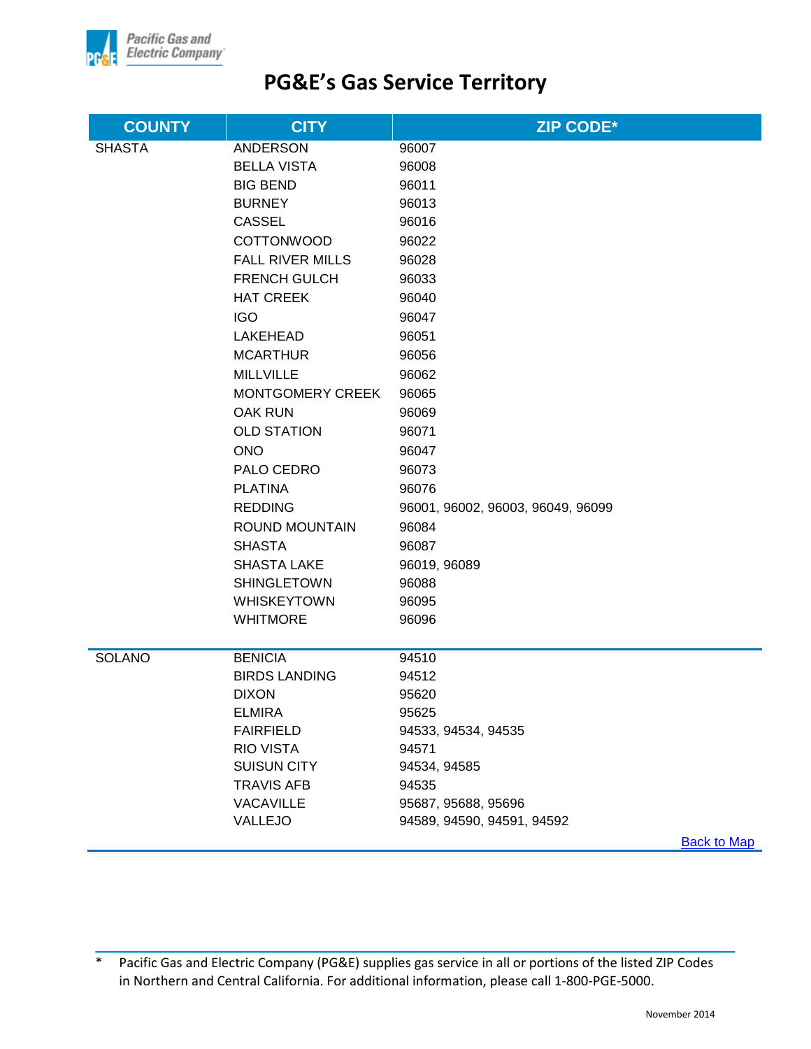

| <b>COUNTY</b> | <b>CITY</b>                    | <b>ZIP CODE*</b>                                  |
|---------------|--------------------------------|---------------------------------------------------|
| <b>SHASTA</b> | <b>ANDERSON</b>                | 96007                                             |
|               | <b>BELLA VISTA</b>             | 96008                                             |
|               | <b>BIG BEND</b>                | 96011                                             |
|               | <b>BURNEY</b>                  | 96013                                             |
|               | <b>CASSEL</b>                  | 96016                                             |
|               | <b>COTTONWOOD</b>              | 96022                                             |
|               | <b>FALL RIVER MILLS</b>        | 96028                                             |
|               | <b>FRENCH GULCH</b>            | 96033                                             |
|               | <b>HAT CREEK</b>               | 96040                                             |
|               | <b>IGO</b>                     | 96047                                             |
|               | <b>LAKEHEAD</b>                | 96051                                             |
|               | <b>MCARTHUR</b>                | 96056                                             |
|               | <b>MILLVILLE</b>               | 96062                                             |
|               | MONTGOMERY CREEK               | 96065                                             |
|               | <b>OAK RUN</b>                 | 96069                                             |
|               | <b>OLD STATION</b>             | 96071                                             |
|               | <b>ONO</b>                     | 96047                                             |
|               | PALO CEDRO                     | 96073                                             |
|               | <b>PLATINA</b>                 | 96076                                             |
|               | <b>REDDING</b>                 | 96001, 96002, 96003, 96049, 96099                 |
|               | ROUND MOUNTAIN                 | 96084                                             |
|               | <b>SHASTA</b>                  | 96087                                             |
|               | <b>SHASTA LAKE</b>             | 96019, 96089                                      |
|               | <b>SHINGLETOWN</b>             | 96088                                             |
|               | <b>WHISKEYTOWN</b>             | 96095                                             |
|               | <b>WHITMORE</b>                | 96096                                             |
|               |                                |                                                   |
| <b>SOLANO</b> | <b>BENICIA</b>                 | 94510                                             |
|               | <b>BIRDS LANDING</b>           | 94512                                             |
|               | <b>DIXON</b>                   | 95620                                             |
|               | <b>ELMIRA</b>                  | 95625                                             |
|               | <b>FAIRFIELD</b>               | 94533, 94534, 94535                               |
|               | <b>RIO VISTA</b>               | 94571                                             |
|               | <b>SUISUN CITY</b>             | 94534, 94585                                      |
|               | <b>TRAVIS AFB</b><br>VACAVILLE | 94535                                             |
|               | VALLEJO                        | 95687, 95688, 95696<br>94589, 94590, 94591, 94592 |
|               |                                | <b>Back to Man</b>                                |

[Back to Map](#page-1-0)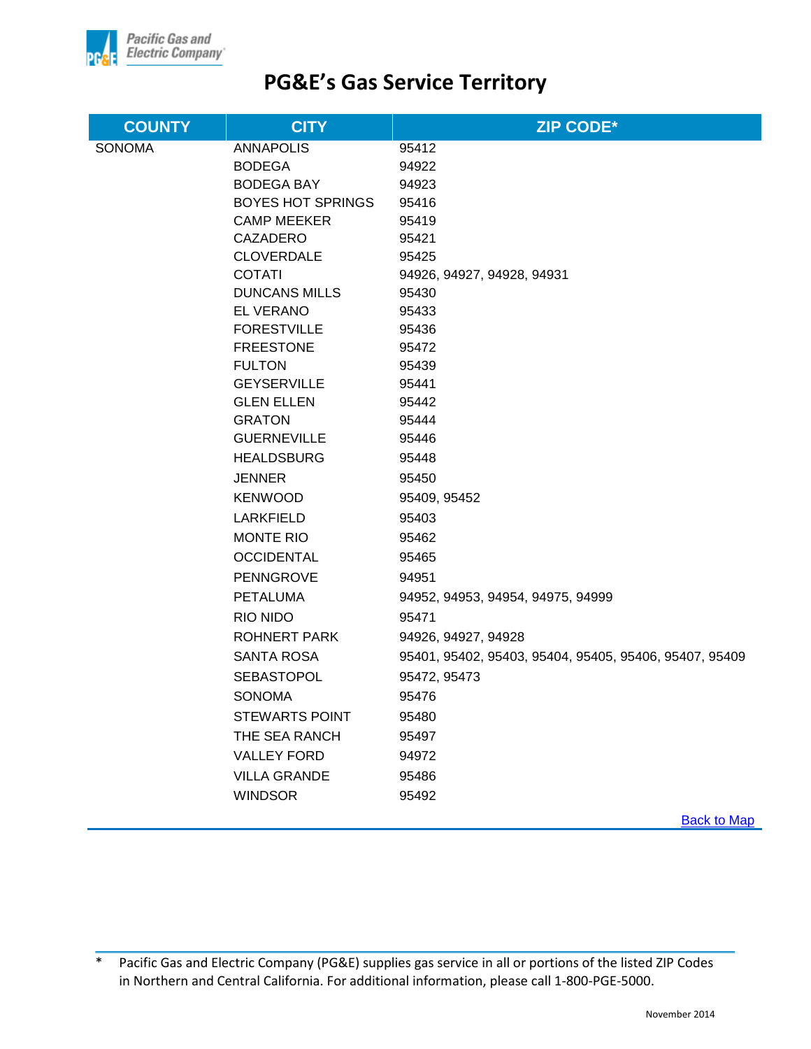

| <b>COUNTY</b> | <b>CITY</b>                       | <b>ZIP CODE*</b>                                       |
|---------------|-----------------------------------|--------------------------------------------------------|
| <b>SONOMA</b> | <b>ANNAPOLIS</b>                  | 95412                                                  |
|               | <b>BODEGA</b>                     | 94922                                                  |
|               | <b>BODEGA BAY</b>                 | 94923                                                  |
|               | <b>BOYES HOT SPRINGS</b>          | 95416                                                  |
|               | <b>CAMP MEEKER</b>                | 95419                                                  |
|               | CAZADERO                          | 95421                                                  |
|               | <b>CLOVERDALE</b>                 | 95425                                                  |
|               | <b>COTATI</b>                     | 94926, 94927, 94928, 94931                             |
|               | <b>DUNCANS MILLS</b>              | 95430                                                  |
|               | <b>EL VERANO</b>                  | 95433                                                  |
|               | <b>FORESTVILLE</b>                | 95436                                                  |
|               | <b>FREESTONE</b><br><b>FULTON</b> | 95472                                                  |
|               | <b>GEYSERVILLE</b>                | 95439<br>95441                                         |
|               | <b>GLEN ELLEN</b>                 | 95442                                                  |
|               | <b>GRATON</b>                     | 95444                                                  |
|               | <b>GUERNEVILLE</b>                | 95446                                                  |
|               | <b>HEALDSBURG</b>                 | 95448                                                  |
|               | <b>JENNER</b>                     | 95450                                                  |
|               | <b>KENWOOD</b>                    | 95409, 95452                                           |
|               | LARKFIELD                         | 95403                                                  |
|               | <b>MONTE RIO</b>                  | 95462                                                  |
|               | <b>OCCIDENTAL</b>                 | 95465                                                  |
|               | <b>PENNGROVE</b>                  | 94951                                                  |
|               | <b>PETALUMA</b>                   | 94952, 94953, 94954, 94975, 94999                      |
|               | RIO NIDO                          | 95471                                                  |
|               | <b>ROHNERT PARK</b>               | 94926, 94927, 94928                                    |
|               | SANTA ROSA                        | 95401, 95402, 95403, 95404, 95405, 95406, 95407, 95409 |
|               | <b>SEBASTOPOL</b>                 | 95472, 95473                                           |
|               | <b>SONOMA</b>                     | 95476                                                  |
|               | <b>STEWARTS POINT</b>             | 95480                                                  |
|               | THE SEA RANCH                     | 95497                                                  |
|               | <b>VALLEY FORD</b>                | 94972                                                  |
|               | <b>VILLA GRANDE</b>               | 95486                                                  |
|               | <b>WINDSOR</b>                    | 95492                                                  |
|               |                                   |                                                        |

**Back to Map**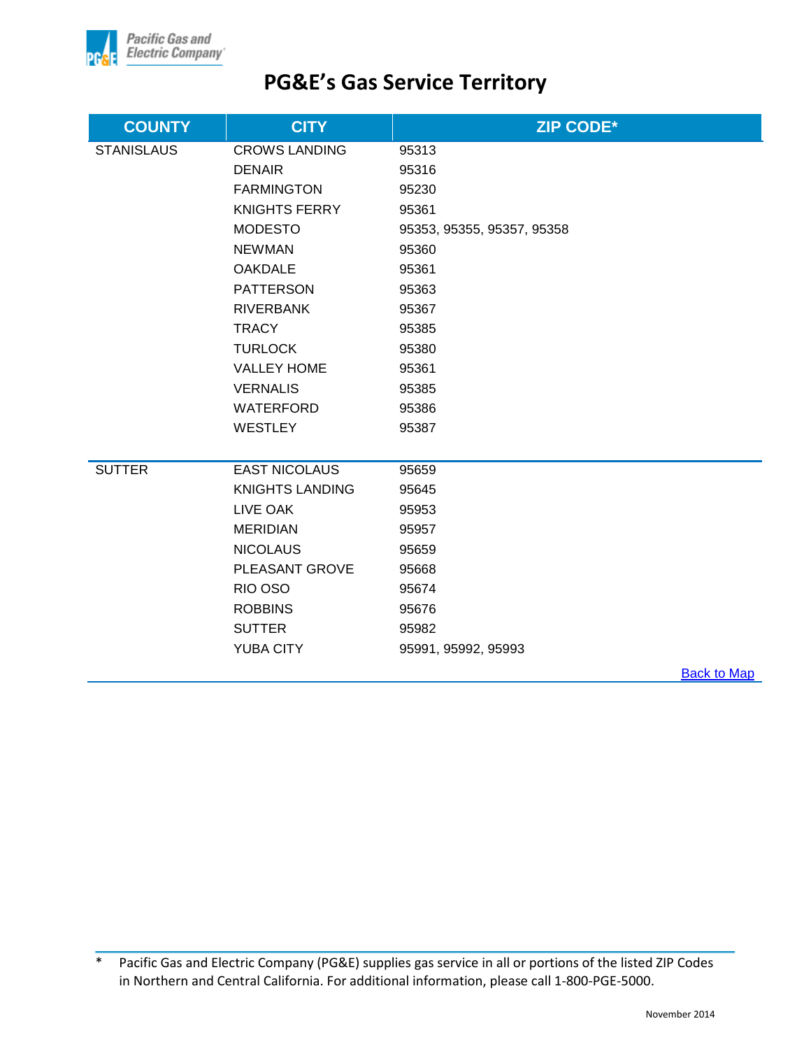

| <b>COUNTY</b>     | <b>CITY</b>            | <b>ZIP CODE*</b>           |
|-------------------|------------------------|----------------------------|
| <b>STANISLAUS</b> | <b>CROWS LANDING</b>   | 95313                      |
|                   | <b>DENAIR</b>          | 95316                      |
|                   | <b>FARMINGTON</b>      | 95230                      |
|                   | <b>KNIGHTS FERRY</b>   | 95361                      |
|                   | <b>MODESTO</b>         | 95353, 95355, 95357, 95358 |
|                   | <b>NEWMAN</b>          | 95360                      |
|                   | <b>OAKDALE</b>         | 95361                      |
|                   | <b>PATTERSON</b>       | 95363                      |
|                   | <b>RIVERBANK</b>       | 95367                      |
|                   | <b>TRACY</b>           | 95385                      |
|                   | <b>TURLOCK</b>         | 95380                      |
|                   | <b>VALLEY HOME</b>     | 95361                      |
|                   | <b>VERNALIS</b>        | 95385                      |
|                   | <b>WATERFORD</b>       | 95386                      |
|                   | <b>WESTLEY</b>         | 95387                      |
|                   |                        |                            |
| <b>SUTTER</b>     | <b>EAST NICOLAUS</b>   | 95659                      |
|                   | <b>KNIGHTS LANDING</b> | 95645                      |
|                   | LIVE OAK               | 95953                      |
|                   | <b>MERIDIAN</b>        | 95957                      |
|                   | <b>NICOLAUS</b>        | 95659                      |
|                   | PLEASANT GROVE         | 95668                      |
|                   | RIO OSO                | 95674                      |
|                   | <b>ROBBINS</b>         | 95676                      |
|                   | <b>SUTTER</b>          | 95982                      |
|                   | <b>YUBA CITY</b>       | 95991, 95992, 95993        |
|                   |                        | $D$ ook to Mon             |

**Back to Map**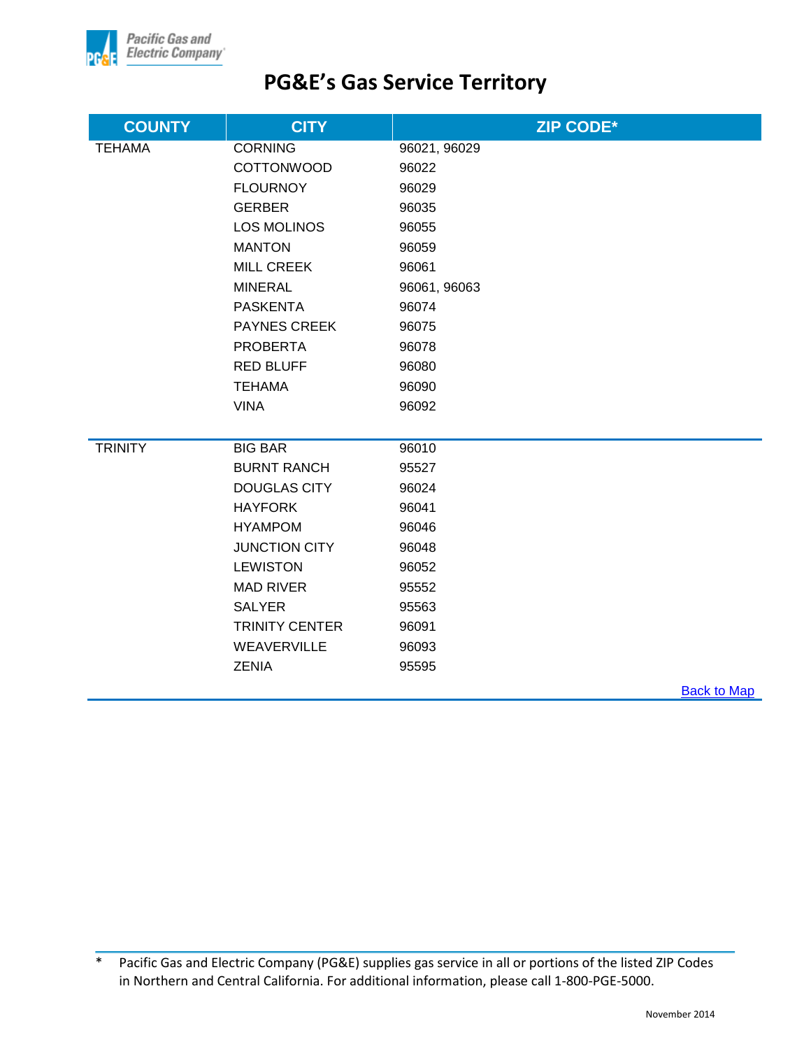

| <b>COUNTY</b>  | <b>CITY</b>           | <b>ZIP CODE*</b>   |
|----------------|-----------------------|--------------------|
| <b>TEHAMA</b>  | <b>CORNING</b>        | 96021, 96029       |
|                | <b>COTTONWOOD</b>     | 96022              |
|                | <b>FLOURNOY</b>       | 96029              |
|                | <b>GERBER</b>         | 96035              |
|                | <b>LOS MOLINOS</b>    | 96055              |
|                | <b>MANTON</b>         | 96059              |
|                | <b>MILL CREEK</b>     | 96061              |
|                | <b>MINERAL</b>        | 96061, 96063       |
|                | <b>PASKENTA</b>       | 96074              |
|                | <b>PAYNES CREEK</b>   | 96075              |
|                | <b>PROBERTA</b>       | 96078              |
|                | <b>RED BLUFF</b>      | 96080              |
|                | <b>TEHAMA</b>         | 96090              |
|                | <b>VINA</b>           | 96092              |
|                |                       |                    |
| <b>TRINITY</b> | <b>BIG BAR</b>        | 96010              |
|                | <b>BURNT RANCH</b>    | 95527              |
|                | <b>DOUGLAS CITY</b>   | 96024              |
|                | <b>HAYFORK</b>        | 96041              |
|                | <b>HYAMPOM</b>        | 96046              |
|                | <b>JUNCTION CITY</b>  | 96048              |
|                | <b>LEWISTON</b>       | 96052              |
|                | <b>MAD RIVER</b>      | 95552              |
|                | <b>SALYER</b>         | 95563              |
|                | <b>TRINITY CENTER</b> | 96091              |
|                | WEAVERVILLE           | 96093              |
|                | <b>ZENIA</b>          | 95595              |
|                |                       | <b>Back to Man</b> |

**Back to Map** 

<sup>\*</sup> Pacific Gas and Electric Company (PG&E) supplies gas service in all or portions of the listed ZIP Codes in Northern and Central California. For additional information, please call 1-800-PGE-5000.